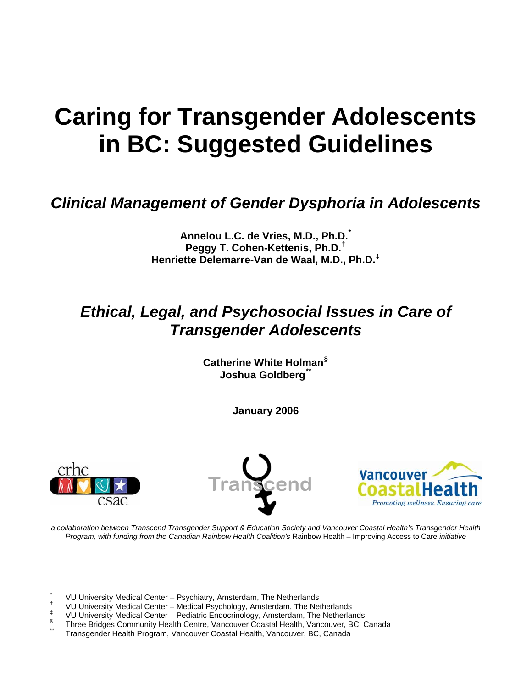# **Caring for Transgender Adolescents in BC: Suggested Guidelines**

*Clinical Management of Gender Dysphoria in Adolescents* 

**Annelou L.C. de Vries, M.D., Ph.D.[\\*](#page-0-0) Peggy T. Cohen-Kettenis, Ph.D.[†](#page-0-1) Henriette Delemarre-Van de Waal, M.D., Ph.D.[‡](#page-0-2)**

# *Ethical, Legal, and Psychosocial Issues in Care of Transgender Adolescents*

**Catherine White Holman[§](#page-0-3) Joshua Goldberg[\\*\\*](#page-0-4)**

**January 2006** 



 $\overline{a}$ 





*a collaboration between Transcend Transgender Support & Education Society and Vancouver Coastal Health's Transgender Health Program, with funding from the Canadian Rainbow Health Coalition's* Rainbow Health – Improving Access to Care *initiative*

<span id="page-0-0"></span><sup>\*</sup> VU University Medical Center – Psychiatry, Amsterdam, The Netherlands

<sup>†</sup> <sup>†</sup> VU University Medical Center – Medical Psychology, Amsterdam, The Netherlands<br><sup>‡</sup> VI University Medical Center – Redictie Endecripeleay, Amsterdam, The Netherla

<span id="page-0-3"></span><span id="page-0-2"></span><span id="page-0-1"></span><sup>&</sup>lt;sup>‡</sup> VU University Medical Center – Pediatric Endocrinology, Amsterdam, The Netherlands<br>§ Three Bridges Community Health Centre Vancouver Coastal Health Vancouver, BC, C

<span id="page-0-4"></span>Three Bridges Community Health Centre, Vancouver Coastal Health, Vancouver, BC, Canada

Transgender Health Program, Vancouver Coastal Health, Vancouver, BC, Canada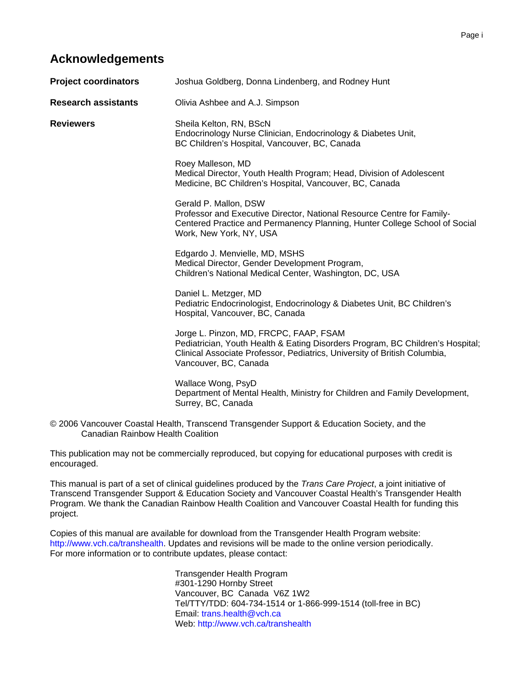# **Acknowledgements**

| <b>Project coordinators</b><br>Joshua Goldberg, Donna Lindenberg, and Rodney Hunt                                                                                                                                                                                                                                                         |                                                                                                                                                                                                                                |  |
|-------------------------------------------------------------------------------------------------------------------------------------------------------------------------------------------------------------------------------------------------------------------------------------------------------------------------------------------|--------------------------------------------------------------------------------------------------------------------------------------------------------------------------------------------------------------------------------|--|
| <b>Research assistants</b><br>Olivia Ashbee and A.J. Simpson                                                                                                                                                                                                                                                                              |                                                                                                                                                                                                                                |  |
| <b>Reviewers</b>                                                                                                                                                                                                                                                                                                                          | Sheila Kelton, RN, BScN<br>Endocrinology Nurse Clinician, Endocrinology & Diabetes Unit,<br>BC Children's Hospital, Vancouver, BC, Canada                                                                                      |  |
|                                                                                                                                                                                                                                                                                                                                           | Roey Malleson, MD<br>Medical Director, Youth Health Program; Head, Division of Adolescent<br>Medicine, BC Children's Hospital, Vancouver, BC, Canada                                                                           |  |
|                                                                                                                                                                                                                                                                                                                                           | Gerald P. Mallon, DSW<br>Professor and Executive Director, National Resource Centre for Family-<br>Centered Practice and Permanency Planning, Hunter College School of Social<br>Work, New York, NY, USA                       |  |
|                                                                                                                                                                                                                                                                                                                                           | Edgardo J. Menvielle, MD, MSHS<br>Medical Director, Gender Development Program,<br>Children's National Medical Center, Washington, DC, USA                                                                                     |  |
|                                                                                                                                                                                                                                                                                                                                           | Daniel L. Metzger, MD<br>Pediatric Endocrinologist, Endocrinology & Diabetes Unit, BC Children's<br>Hospital, Vancouver, BC, Canada                                                                                            |  |
|                                                                                                                                                                                                                                                                                                                                           | Jorge L. Pinzon, MD, FRCPC, FAAP, FSAM<br>Pediatrician, Youth Health & Eating Disorders Program, BC Children's Hospital;<br>Clinical Associate Professor, Pediatrics, University of British Columbia,<br>Vancouver, BC, Canada |  |
|                                                                                                                                                                                                                                                                                                                                           | Wallace Wong, PsyD<br>Department of Mental Health, Ministry for Children and Family Development,<br>Surrey, BC, Canada                                                                                                         |  |
| © 2006 Vancouver Coastal Health, Transcend Transgender Support & Education Society, and the<br>Canadian Rainbow Health Coalition                                                                                                                                                                                                          |                                                                                                                                                                                                                                |  |
| This publication may not be commercially reproduced, but copying for educational purposes with credit is<br>encouraged.                                                                                                                                                                                                                   |                                                                                                                                                                                                                                |  |
| This manual is part of a set of clinical guidelines produced by the Trans Care Project, a joint initiative of<br>Transcend Transgender Support & Education Society and Vancouver Coastal Health's Transgender Health<br>Program. We thank the Canadian Rainbow Health Coalition and Vancouver Coastal Health for funding this<br>project. |                                                                                                                                                                                                                                |  |

Copies of this manual are available for download from the Transgender Health Program website: <http://www.vch.ca/transhealth>. Updates and revisions will be made to the online version periodically. For more information or to contribute updates, please contact:

> Transgender Health Program #301-1290 Hornby Street Vancouver, BC Canada V6Z 1W2 Tel/TTY/TDD: 604-734-1514 or 1-866-999-1514 (toll-free in BC) Email: [trans.health@vch.ca](mailto:trans.health@vch.ca) Web: <http://www.vch.ca/transhealth>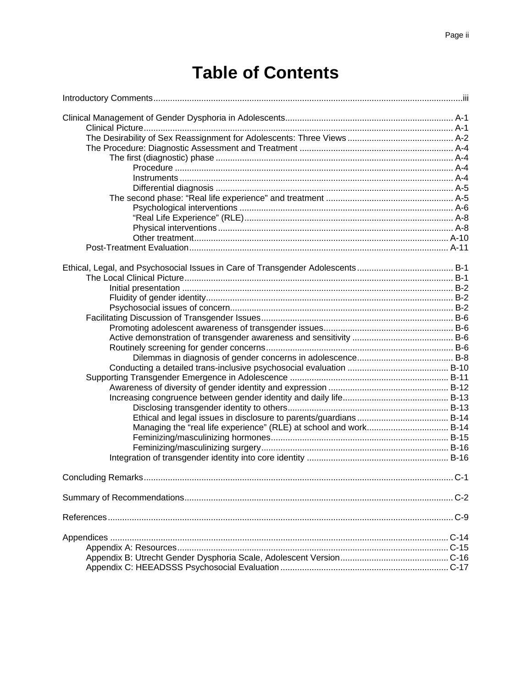# **Table of Contents**

|  | $C-2$ |  |
|--|-------|--|
|  |       |  |
|  |       |  |
|  |       |  |
|  |       |  |
|  |       |  |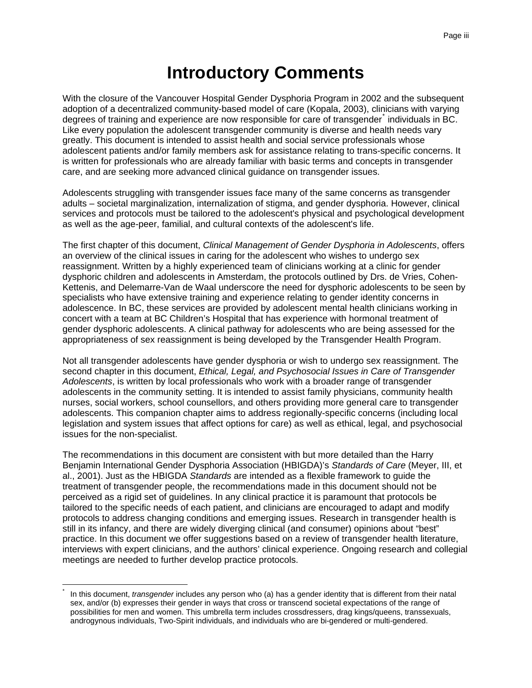# **Introductory Comments**

<span id="page-3-0"></span>With the closure of the Vancouver Hospital Gender Dysphoria Program in 2002 and the subsequent adoption of a decentralized community-based model of care (Kopala, 2003), clinicians with varying degrees of training and experience are now responsible for care of transgender [\\*](#page-3-1) individuals in BC. Like every population the adolescent transgender community is diverse and health needs vary greatly. This document is intended to assist health and social service professionals whose adolescent patients and/or family members ask for assistance relating to trans-specific concerns. It is written for professionals who are already familiar with basic terms and concepts in transgender care, and are seeking more advanced clinical guidance on transgender issues.

Adolescents struggling with transgender issues face many of the same concerns as transgender adults – societal marginalization, internalization of stigma, and gender dysphoria. However, clinical services and protocols must be tailored to the adolescent's physical and psychological development as well as the age-peer, familial, and cultural contexts of the adolescent's life.

The first chapter of this document, *Clinical Management of Gender Dysphoria in Adolescents*, offers an overview of the clinical issues in caring for the adolescent who wishes to undergo sex reassignment. Written by a highly experienced team of clinicians working at a clinic for gender dysphoric children and adolescents in Amsterdam, the protocols outlined by Drs. de Vries, Cohen-Kettenis, and Delemarre-Van de Waal underscore the need for dysphoric adolescents to be seen by specialists who have extensive training and experience relating to gender identity concerns in adolescence. In BC, these services are provided by adolescent mental health clinicians working in concert with a team at BC Children's Hospital that has experience with hormonal treatment of gender dysphoric adolescents. A clinical pathway for adolescents who are being assessed for the appropriateness of sex reassignment is being developed by the Transgender Health Program.

Not all transgender adolescents have gender dysphoria or wish to undergo sex reassignment. The second chapter in this document, *Ethical, Legal, and Psychosocial Issues in Care of Transgender Adolescents*, is written by local professionals who work with a broader range of transgender adolescents in the community setting. It is intended to assist family physicians, community health nurses, social workers, school counsellors, and others providing more general care to transgender adolescents. This companion chapter aims to address regionally-specific concerns (including local legislation and system issues that affect options for care) as well as ethical, legal, and psychosocial issues for the non-specialist.

The recommendations in this document are consistent with but more detailed than the Harry Benjamin International Gender Dysphoria Association (HBIGDA)'s *Standards of Care* (Meyer, III, et al., 2001). Just as the HBIGDA *Standards* are intended as a flexible framework to guide the treatment of transgender people, the recommendations made in this document should not be perceived as a rigid set of guidelines. In any clinical practice it is paramount that protocols be tailored to the specific needs of each patient, and clinicians are encouraged to adapt and modify protocols to address changing conditions and emerging issues. Research in transgender health is still in its infancy, and there are widely diverging clinical (and consumer) opinions about "best" practice. In this document we offer suggestions based on a review of transgender health literature, interviews with expert clinicians, and the authors' clinical experience. Ongoing research and collegial meetings are needed to further develop practice protocols.

 $\overline{a}$ 

<span id="page-3-1"></span><sup>\*</sup> In this document, *transgender* includes any person who (a) has a gender identity that is different from their natal sex, and/or (b) expresses their gender in ways that cross or transcend societal expectations of the range of possibilities for men and women. This umbrella term includes crossdressers, drag kings/queens, transsexuals, androgynous individuals, Two-Spirit individuals, and individuals who are bi-gendered or multi-gendered.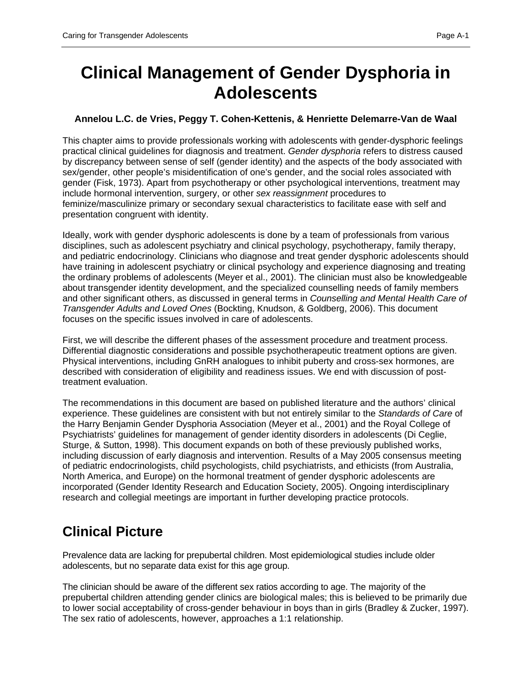# <span id="page-4-0"></span>**Clinical Management of Gender Dysphoria in Adolescents**

#### **Annelou L.C. de Vries, Peggy T. Cohen-Kettenis, & Henriette Delemarre-Van de Waal**

This chapter aims to provide professionals working with adolescents with gender-dysphoric feelings practical clinical guidelines for diagnosis and treatment. *Gender dysphoria* refers to distress caused by discrepancy between sense of self (gender identity) and the aspects of the body associated with sex/gender, other people's misidentification of one's gender, and the social roles associated with gender (Fisk, 1973). Apart from psychotherapy or other psychological interventions, treatment may include hormonal intervention, surgery, or other *sex reassignment* procedures to feminize/masculinize primary or secondary sexual characteristics to facilitate ease with self and presentation congruent with identity.

Ideally, work with gender dysphoric adolescents is done by a team of professionals from various disciplines, such as adolescent psychiatry and clinical psychology, psychotherapy, family therapy, and pediatric endocrinology. Clinicians who diagnose and treat gender dysphoric adolescents should have training in adolescent psychiatry or clinical psychology and experience diagnosing and treating the ordinary problems of adolescents (Meyer et al., 2001). The clinician must also be knowledgeable about transgender identity development, and the specialized counselling needs of family members and other significant others, as discussed in general terms in *Counselling and Mental Health Care of Transgender Adults and Loved Ones* (Bockting, Knudson, & Goldberg, 2006). This document focuses on the specific issues involved in care of adolescents.

First, we will describe the different phases of the assessment procedure and treatment process. Differential diagnostic considerations and possible psychotherapeutic treatment options are given. Physical interventions, including GnRH analogues to inhibit puberty and cross-sex hormones, are described with consideration of eligibility and readiness issues. We end with discussion of posttreatment evaluation.

The recommendations in this document are based on published literature and the authors' clinical experience. These guidelines are consistent with but not entirely similar to the *Standards of Care* of the Harry Benjamin Gender Dysphoria Association (Meyer et al., 2001) and the Royal College of Psychiatrists' guidelines for management of gender identity disorders in adolescents (Di Ceglie, Sturge, & Sutton, 1998). This document expands on both of these previously published works, including discussion of early diagnosis and intervention. Results of a May 2005 consensus meeting of pediatric endocrinologists, child psychologists, child psychiatrists, and ethicists (from Australia, North America, and Europe) on the hormonal treatment of gender dysphoric adolescents are incorporated (Gender Identity Research and Education Society, 2005). Ongoing interdisciplinary research and collegial meetings are important in further developing practice protocols.

# **Clinical Picture**

Prevalence data are lacking for prepubertal children. Most epidemiological studies include older adolescents, but no separate data exist for this age group.

The clinician should be aware of the different sex ratios according to age. The majority of the prepubertal children attending gender clinics are biological males; this is believed to be primarily due to lower social acceptability of cross-gender behaviour in boys than in girls (Bradley & Zucker, 1997). The sex ratio of adolescents, however, approaches a 1:1 relationship.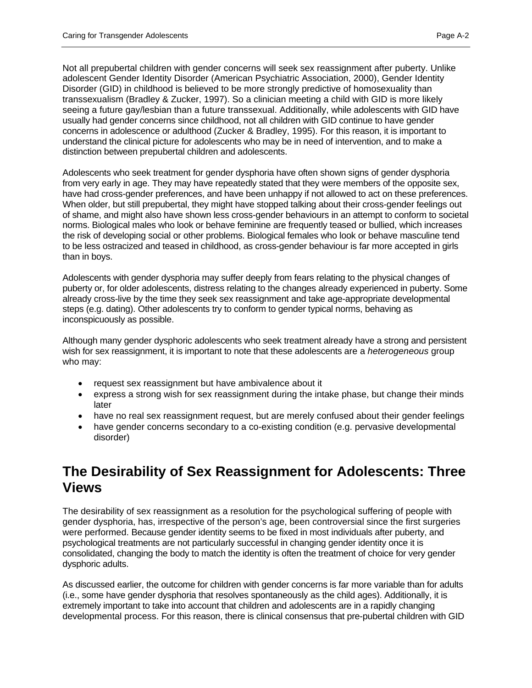<span id="page-5-0"></span>Not all prepubertal children with gender concerns will seek sex reassignment after puberty. Unlike adolescent Gender Identity Disorder (American Psychiatric Association, 2000), Gender Identity Disorder (GID) in childhood is believed to be more strongly predictive of homosexuality than transsexualism (Bradley & Zucker, 1997). So a clinician meeting a child with GID is more likely seeing a future gay/lesbian than a future transsexual. Additionally, while adolescents with GID have usually had gender concerns since childhood, not all children with GID continue to have gender concerns in adolescence or adulthood (Zucker & Bradley, 1995). For this reason, it is important to understand the clinical picture for adolescents who may be in need of intervention, and to make a distinction between prepubertal children and adolescents.

Adolescents who seek treatment for gender dysphoria have often shown signs of gender dysphoria from very early in age. They may have repeatedly stated that they were members of the opposite sex, have had cross-gender preferences, and have been unhappy if not allowed to act on these preferences. When older, but still prepubertal, they might have stopped talking about their cross-gender feelings out of shame, and might also have shown less cross-gender behaviours in an attempt to conform to societal norms. Biological males who look or behave feminine are frequently teased or bullied, which increases the risk of developing social or other problems. Biological females who look or behave masculine tend to be less ostracized and teased in childhood, as cross-gender behaviour is far more accepted in girls than in boys.

Adolescents with gender dysphoria may suffer deeply from fears relating to the physical changes of puberty or, for older adolescents, distress relating to the changes already experienced in puberty. Some already cross-live by the time they seek sex reassignment and take age-appropriate developmental steps (e.g. dating). Other adolescents try to conform to gender typical norms, behaving as inconspicuously as possible.

Although many gender dysphoric adolescents who seek treatment already have a strong and persistent wish for sex reassignment, it is important to note that these adolescents are a *heterogeneous* group who may:

- request sex reassignment but have ambivalence about it
- express a strong wish for sex reassignment during the intake phase, but change their minds later
- have no real sex reassignment request, but are merely confused about their gender feelings
- have gender concerns secondary to a co-existing condition (e.g. pervasive developmental disorder)

# **The Desirability of Sex Reassignment for Adolescents: Three Views**

The desirability of sex reassignment as a resolution for the psychological suffering of people with gender dysphoria, has, irrespective of the person's age, been controversial since the first surgeries were performed. Because gender identity seems to be fixed in most individuals after puberty, and psychological treatments are not particularly successful in changing gender identity once it is consolidated, changing the body to match the identity is often the treatment of choice for very gender dysphoric adults.

As discussed earlier, the outcome for children with gender concerns is far more variable than for adults (i.e., some have gender dysphoria that resolves spontaneously as the child ages). Additionally, it is extremely important to take into account that children and adolescents are in a rapidly changing developmental process. For this reason, there is clinical consensus that pre-pubertal children with GID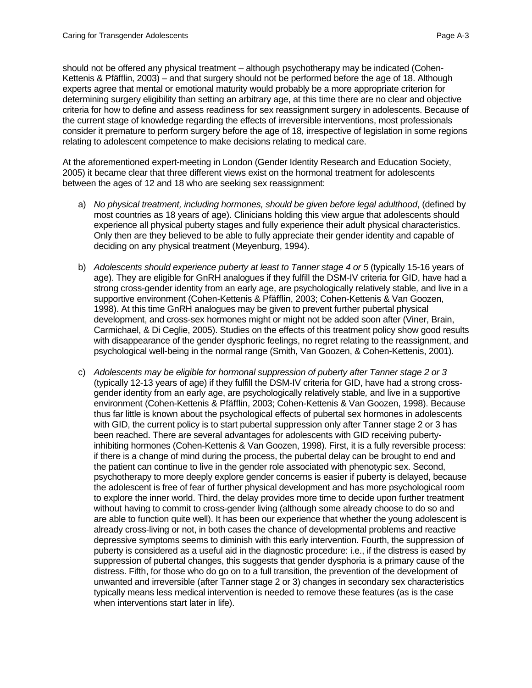should not be offered any physical treatment – although psychotherapy may be indicated (Cohen-Kettenis & Pfäfflin, 2003) – and that surgery should not be performed before the age of 18. Although experts agree that mental or emotional maturity would probably be a more appropriate criterion for determining surgery eligibility than setting an arbitrary age, at this time there are no clear and objective criteria for how to define and assess readiness for sex reassignment surgery in adolescents. Because of the current stage of knowledge regarding the effects of irreversible interventions, most professionals consider it premature to perform surgery before the age of 18, irrespective of legislation in some regions relating to adolescent competence to make decisions relating to medical care.

At the aforementioned expert-meeting in London (Gender Identity Research and Education Society, 2005) it became clear that three different views exist on the hormonal treatment for adolescents between the ages of 12 and 18 who are seeking sex reassignment:

- a) *No physical treatment, including hormones, should be given before legal adulthood*, (defined by most countries as 18 years of age). Clinicians holding this view argue that adolescents should experience all physical puberty stages and fully experience their adult physical characteristics. Only then are they believed to be able to fully appreciate their gender identity and capable of deciding on any physical treatment (Meyenburg, 1994).
- b) *Adolescents should experience puberty at least to Tanner stage 4 or 5* (typically 15-16 years of age). They are eligible for GnRH analogues if they fulfill the DSM-IV criteria for GID, have had a strong cross-gender identity from an early age, are psychologically relatively stable*,* and live in a supportive environment (Cohen-Kettenis & Pfäfflin, 2003; Cohen-Kettenis & Van Goozen, 1998). At this time GnRH analogues may be given to prevent further pubertal physical development, and cross-sex hormones might or might not be added soon after (Viner, Brain, Carmichael, & Di Ceglie, 2005). Studies on the effects of this treatment policy show good results with disappearance of the gender dysphoric feelings, no regret relating to the reassignment, and psychological well-being in the normal range (Smith, Van Goozen, & Cohen-Kettenis, 2001).
- c) *Adolescents may be eligible for hormonal suppression of puberty after Tanner stage 2 or 3*  (typically 12-13 years of age) if they fulfill the DSM-IV criteria for GID, have had a strong crossgender identity from an early age, are psychologically relatively stable*,* and live in a supportive environment (Cohen-Kettenis & Pfäfflin, 2003; Cohen-Kettenis & Van Goozen, 1998). Because thus far little is known about the psychological effects of pubertal sex hormones in adolescents with GID, the current policy is to start pubertal suppression only after Tanner stage 2 or 3 has been reached. There are several advantages for adolescents with GID receiving pubertyinhibiting hormones (Cohen-Kettenis & Van Goozen, 1998). First, it is a fully reversible process: if there is a change of mind during the process, the pubertal delay can be brought to end and the patient can continue to live in the gender role associated with phenotypic sex. Second, psychotherapy to more deeply explore gender concerns is easier if puberty is delayed, because the adolescent is free of fear of further physical development and has more psychological room to explore the inner world. Third, the delay provides more time to decide upon further treatment without having to commit to cross-gender living (although some already choose to do so and are able to function quite well). It has been our experience that whether the young adolescent is already cross-living or not, in both cases the chance of developmental problems and reactive depressive symptoms seems to diminish with this early intervention. Fourth, the suppression of puberty is considered as a useful aid in the diagnostic procedure: i.e., if the distress is eased by suppression of pubertal changes, this suggests that gender dysphoria is a primary cause of the distress. Fifth, for those who do go on to a full transition, the prevention of the development of unwanted and irreversible (after Tanner stage 2 or 3) changes in secondary sex characteristics typically means less medical intervention is needed to remove these features (as is the case when interventions start later in life).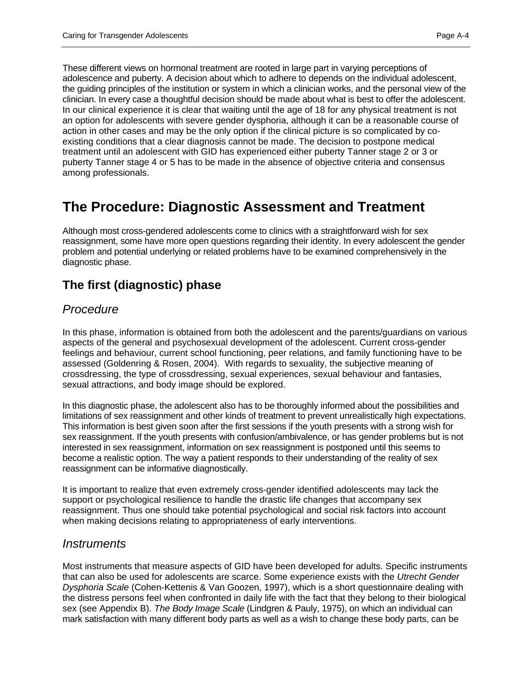<span id="page-7-0"></span>These different views on hormonal treatment are rooted in large part in varying perceptions of adolescence and puberty. A decision about which to adhere to depends on the individual adolescent, the guiding principles of the institution or system in which a clinician works, and the personal view of the clinician. In every case a thoughtful decision should be made about what is best to offer the adolescent. In our clinical experience it is clear that waiting until the age of 18 for any physical treatment is not an option for adolescents with severe gender dysphoria, although it can be a reasonable course of action in other cases and may be the only option if the clinical picture is so complicated by coexisting conditions that a clear diagnosis cannot be made. The decision to postpone medical treatment until an adolescent with GID has experienced either puberty Tanner stage 2 or 3 or puberty Tanner stage 4 or 5 has to be made in the absence of objective criteria and consensus among professionals.

# **The Procedure: Diagnostic Assessment and Treatment**

Although most cross-gendered adolescents come to clinics with a straightforward wish for sex reassignment, some have more open questions regarding their identity. In every adolescent the gender problem and potential underlying or related problems have to be examined comprehensively in the diagnostic phase.

# **The first (diagnostic) phase**

### *Procedure*

In this phase, information is obtained from both the adolescent and the parents/guardians on various aspects of the general and psychosexual development of the adolescent. Current cross-gender feelings and behaviour, current school functioning, peer relations, and family functioning have to be assessed (Goldenring & Rosen, 2004). With regards to sexuality, the subjective meaning of crossdressing, the type of crossdressing, sexual experiences, sexual behaviour and fantasies, sexual attractions, and body image should be explored.

In this diagnostic phase, the adolescent also has to be thoroughly informed about the possibilities and limitations of sex reassignment and other kinds of treatment to prevent unrealistically high expectations. This information is best given soon after the first sessions if the youth presents with a strong wish for sex reassignment. If the youth presents with confusion/ambivalence, or has gender problems but is not interested in sex reassignment, information on sex reassignment is postponed until this seems to become a realistic option. The way a patient responds to their understanding of the reality of sex reassignment can be informative diagnostically.

It is important to realize that even extremely cross-gender identified adolescents may lack the support or psychological resilience to handle the drastic life changes that accompany sex reassignment. Thus one should take potential psychological and social risk factors into account when making decisions relating to appropriateness of early interventions.

#### *Instruments*

Most instruments that measure aspects of GID have been developed for adults. Specific instruments that can also be used for adolescents are scarce. Some experience exists with the *Utrecht Gender Dysphoria Scale* (Cohen-Kettenis & Van Goozen, 1997), which is a short questionnaire dealing with the distress persons feel when confronted in daily life with the fact that they belong to their biological sex (see Appendix B). *The Body Image Scale* (Lindgren & Pauly, 1975), on which an individual can mark satisfaction with many different body parts as well as a wish to change these body parts, can be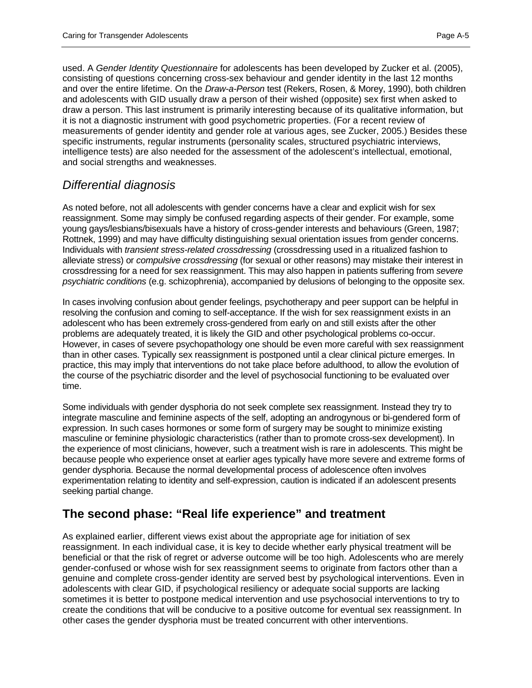<span id="page-8-0"></span>used. A *Gender Identity Questionnaire* for adolescents has been developed by Zucker et al. (2005), consisting of questions concerning cross-sex behaviour and gender identity in the last 12 months and over the entire lifetime. On the *Draw-a-Person* test (Rekers, Rosen, & Morey, 1990), both children and adolescents with GID usually draw a person of their wished (opposite) sex first when asked to draw a person. This last instrument is primarily interesting because of its qualitative information, but it is not a diagnostic instrument with good psychometric properties. (For a recent review of measurements of gender identity and gender role at various ages, see Zucker, 2005.) Besides these specific instruments, regular instruments (personality scales, structured psychiatric interviews, intelligence tests) are also needed for the assessment of the adolescent's intellectual, emotional, and social strengths and weaknesses.

### *Differential diagnosis*

As noted before, not all adolescents with gender concerns have a clear and explicit wish for sex reassignment. Some may simply be confused regarding aspects of their gender. For example, some young gays/lesbians/bisexuals have a history of cross-gender interests and behaviours (Green, 1987; Rottnek, 1999) and may have difficulty distinguishing sexual orientation issues from gender concerns. Individuals with *transient stress-related crossdressing* (crossdressing used in a ritualized fashion to alleviate stress) or *compulsive crossdressing* (for sexual or other reasons) may mistake their interest in crossdressing for a need for sex reassignment. This may also happen in patients suffering from *severe psychiatric conditions* (e.g. schizophrenia), accompanied by delusions of belonging to the opposite sex.

In cases involving confusion about gender feelings, psychotherapy and peer support can be helpful in resolving the confusion and coming to self-acceptance. If the wish for sex reassignment exists in an adolescent who has been extremely cross-gendered from early on and still exists after the other problems are adequately treated, it is likely the GID and other psychological problems co-occur. However, in cases of severe psychopathology one should be even more careful with sex reassignment than in other cases. Typically sex reassignment is postponed until a clear clinical picture emerges. In practice, this may imply that interventions do not take place before adulthood, to allow the evolution of the course of the psychiatric disorder and the level of psychosocial functioning to be evaluated over time.

Some individuals with gender dysphoria do not seek complete sex reassignment. Instead they try to integrate masculine and feminine aspects of the self, adopting an androgynous or bi-gendered form of expression. In such cases hormones or some form of surgery may be sought to minimize existing masculine or feminine physiologic characteristics (rather than to promote cross-sex development). In the experience of most clinicians, however, such a treatment wish is rare in adolescents. This might be because people who experience onset at earlier ages typically have more severe and extreme forms of gender dysphoria. Because the normal developmental process of adolescence often involves experimentation relating to identity and self-expression, caution is indicated if an adolescent presents seeking partial change.

## **The second phase: "Real life experience" and treatment**

As explained earlier, different views exist about the appropriate age for initiation of sex reassignment. In each individual case, it is key to decide whether early physical treatment will be beneficial or that the risk of regret or adverse outcome will be too high. Adolescents who are merely gender-confused or whose wish for sex reassignment seems to originate from factors other than a genuine and complete cross-gender identity are served best by psychological interventions. Even in adolescents with clear GID, if psychological resiliency or adequate social supports are lacking sometimes it is better to postpone medical intervention and use psychosocial interventions to try to create the conditions that will be conducive to a positive outcome for eventual sex reassignment. In other cases the gender dysphoria must be treated concurrent with other interventions.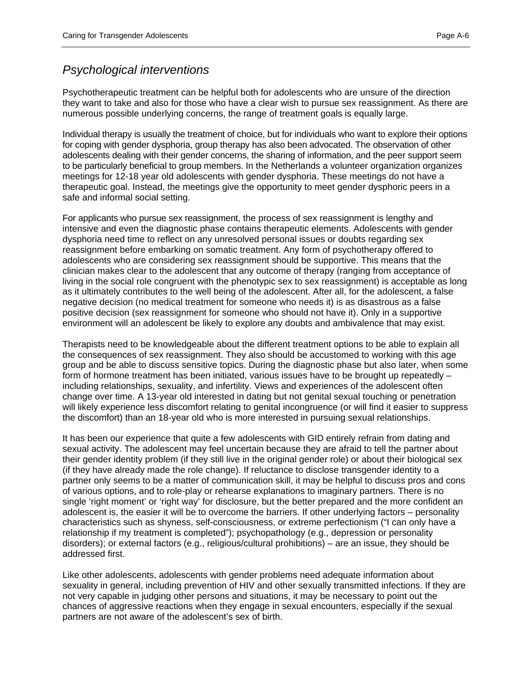### <span id="page-9-0"></span>*Psychological interventions*

Psychotherapeutic treatment can be helpful both for adolescents who are unsure of the direction they want to take and also for those who have a clear wish to pursue sex reassignment. As there are numerous possible underlying concerns, the range of treatment goals is equally large.

Individual therapy is usually the treatment of choice, but for individuals who want to explore their options for coping with gender dysphoria, group therapy has also been advocated. The observation of other adolescents dealing with their gender concerns, the sharing of information, and the peer support seem to be particularly beneficial to group members. In the Netherlands a volunteer organization organizes meetings for 12-18 year old adolescents with gender dysphoria. These meetings do not have a therapeutic goal. Instead, the meetings give the opportunity to meet gender dysphoric peers in a safe and informal social setting.

For applicants who pursue sex reassignment, the process of sex reassignment is lengthy and intensive and even the diagnostic phase contains therapeutic elements. Adolescents with gender dysphoria need time to reflect on any unresolved personal issues or doubts regarding sex reassignment before embarking on somatic treatment. Any form of psychotherapy offered to adolescents who are considering sex reassignment should be supportive. This means that the clinician makes clear to the adolescent that any outcome of therapy (ranging from acceptance of living in the social role congruent with the phenotypic sex to sex reassignment) is acceptable as long as it ultimately contributes to the well being of the adolescent. After all, for the adolescent, a false negative decision (no medical treatment for someone who needs it) is as disastrous as a false positive decision (sex reassignment for someone who should not have it). Only in a supportive environment will an adolescent be likely to explore any doubts and ambivalence that may exist.

Therapists need to be knowledgeable about the different treatment options to be able to explain all the consequences of sex reassignment. They also should be accustomed to working with this age group and be able to discuss sensitive topics. During the diagnostic phase but also later, when some form of hormone treatment has been initiated, various issues have to be brought up repeatedly – including relationships, sexuality, and infertility. Views and experiences of the adolescent often change over time. A 13-year old interested in dating but not genital sexual touching or penetration will likely experience less discomfort relating to genital incongruence (or will find it easier to suppress the discomfort) than an 18-year old who is more interested in pursuing sexual relationships.

It has been our experience that quite a few adolescents with GID entirely refrain from dating and sexual activity. The adolescent may feel uncertain because they are afraid to tell the partner about their gender identity problem (if they still live in the original gender role) or about their biological sex (if they have already made the role change). If reluctance to disclose transgender identity to a partner only seems to be a matter of communication skill, it may be helpful to discuss pros and cons of various options, and to role-play or rehearse explanations to imaginary partners. There is no single 'right moment' or 'right way' for disclosure, but the better prepared and the more confident an adolescent is, the easier it will be to overcome the barriers. If other underlying factors – personality characteristics such as shyness, self-consciousness, or extreme perfectionism ("I can only have a relationship if my treatment is completed"); psychopathology (e.g., depression or personality disorders); or external factors (e.g., religious/cultural prohibitions) – are an issue, they should be addressed first.

Like other adolescents, adolescents with gender problems need adequate information about sexuality in general, including prevention of HIV and other sexually transmitted infections. If they are not very capable in judging other persons and situations, it may be necessary to point out the chances of aggressive reactions when they engage in sexual encounters, especially if the sexual partners are not aware of the adolescent's sex of birth.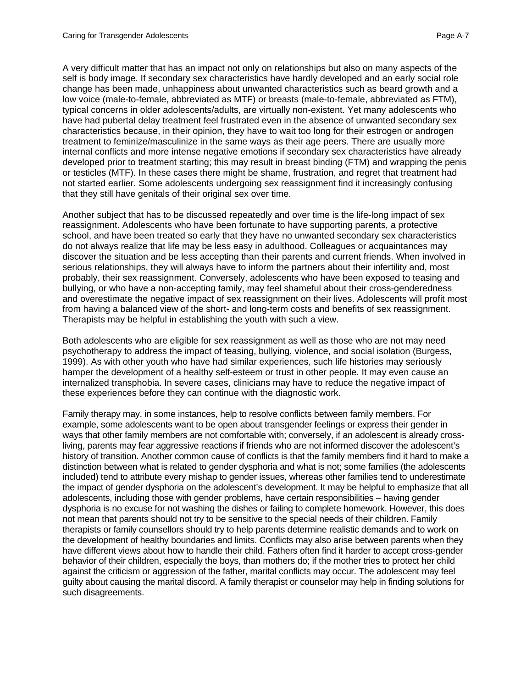A very difficult matter that has an impact not only on relationships but also on many aspects of the self is body image. If secondary sex characteristics have hardly developed and an early social role change has been made, unhappiness about unwanted characteristics such as beard growth and a low voice (male-to-female, abbreviated as MTF) or breasts (male-to-female, abbreviated as FTM), typical concerns in older adolescents/adults, are virtually non-existent. Yet many adolescents who have had pubertal delay treatment feel frustrated even in the absence of unwanted secondary sex characteristics because, in their opinion, they have to wait too long for their estrogen or androgen treatment to feminize/masculinize in the same ways as their age peers. There are usually more internal conflicts and more intense negative emotions if secondary sex characteristics have already developed prior to treatment starting; this may result in breast binding (FTM) and wrapping the penis or testicles (MTF). In these cases there might be shame, frustration, and regret that treatment had not started earlier. Some adolescents undergoing sex reassignment find it increasingly confusing that they still have genitals of their original sex over time.

Another subject that has to be discussed repeatedly and over time is the life-long impact of sex reassignment. Adolescents who have been fortunate to have supporting parents, a protective school, and have been treated so early that they have no unwanted secondary sex characteristics do not always realize that life may be less easy in adulthood. Colleagues or acquaintances may discover the situation and be less accepting than their parents and current friends. When involved in serious relationships, they will always have to inform the partners about their infertility and, most probably, their sex reassignment. Conversely, adolescents who have been exposed to teasing and bullying, or who have a non-accepting family, may feel shameful about their cross-genderedness and overestimate the negative impact of sex reassignment on their lives. Adolescents will profit most from having a balanced view of the short- and long-term costs and benefits of sex reassignment. Therapists may be helpful in establishing the youth with such a view.

Both adolescents who are eligible for sex reassignment as well as those who are not may need psychotherapy to address the impact of teasing, bullying, violence, and social isolation (Burgess, 1999). As with other youth who have had similar experiences, such life histories may seriously hamper the development of a healthy self-esteem or trust in other people. It may even cause an internalized transphobia. In severe cases, clinicians may have to reduce the negative impact of these experiences before they can continue with the diagnostic work.

Family therapy may, in some instances, help to resolve conflicts between family members. For example, some adolescents want to be open about transgender feelings or express their gender in ways that other family members are not comfortable with; conversely, if an adolescent is already crossliving, parents may fear aggressive reactions if friends who are not informed discover the adolescent's history of transition. Another common cause of conflicts is that the family members find it hard to make a distinction between what is related to gender dysphoria and what is not; some families (the adolescents included) tend to attribute every mishap to gender issues, whereas other families tend to underestimate the impact of gender dysphoria on the adolescent's development. It may be helpful to emphasize that all adolescents, including those with gender problems, have certain responsibilities – having gender dysphoria is no excuse for not washing the dishes or failing to complete homework. However, this does not mean that parents should not try to be sensitive to the special needs of their children. Family therapists or family counsellors should try to help parents determine realistic demands and to work on the development of healthy boundaries and limits. Conflicts may also arise between parents when they have different views about how to handle their child. Fathers often find it harder to accept cross-gender behavior of their children, especially the boys, than mothers do; if the mother tries to protect her child against the criticism or aggression of the father, marital conflicts may occur. The adolescent may feel guilty about causing the marital discord. A family therapist or counselor may help in finding solutions for such disagreements.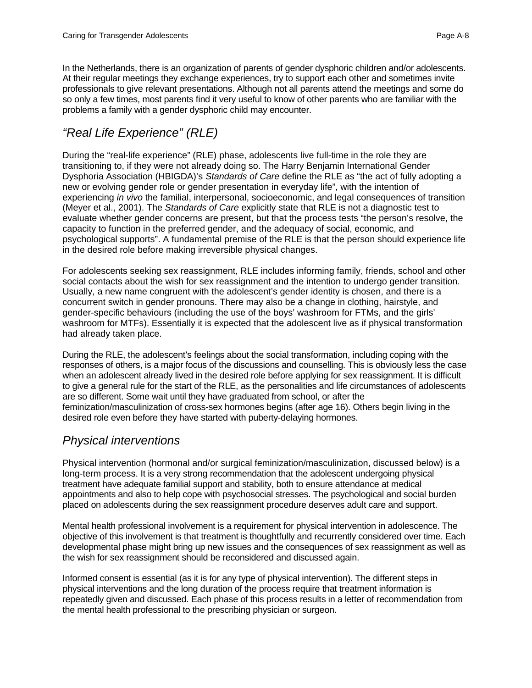<span id="page-11-0"></span>In the Netherlands, there is an organization of parents of gender dysphoric children and/or adolescents. At their regular meetings they exchange experiences, try to support each other and sometimes invite professionals to give relevant presentations. Although not all parents attend the meetings and some do so only a few times, most parents find it very useful to know of other parents who are familiar with the problems a family with a gender dysphoric child may encounter.

# *"Real Life Experience" (RLE)*

During the "real-life experience" (RLE) phase, adolescents live full-time in the role they are transitioning to, if they were not already doing so. The Harry Benjamin International Gender Dysphoria Association (HBIGDA)'s *Standards of Care* define the RLE as "the act of fully adopting a new or evolving gender role or gender presentation in everyday life", with the intention of experiencing *in vivo* the familial, interpersonal, socioeconomic, and legal consequences of transition (Meyer et al., 2001). The *Standards of Care* explicitly state that RLE is not a diagnostic test to evaluate whether gender concerns are present, but that the process tests "the person's resolve, the capacity to function in the preferred gender, and the adequacy of social, economic, and psychological supports". A fundamental premise of the RLE is that the person should experience life in the desired role before making irreversible physical changes.

For adolescents seeking sex reassignment, RLE includes informing family, friends, school and other social contacts about the wish for sex reassignment and the intention to undergo gender transition. Usually, a new name congruent with the adolescent's gender identity is chosen, and there is a concurrent switch in gender pronouns. There may also be a change in clothing, hairstyle, and gender-specific behaviours (including the use of the boys' washroom for FTMs, and the girls' washroom for MTFs). Essentially it is expected that the adolescent live as if physical transformation had already taken place.

During the RLE, the adolescent's feelings about the social transformation, including coping with the responses of others, is a major focus of the discussions and counselling. This is obviously less the case when an adolescent already lived in the desired role before applying for sex reassignment. It is difficult to give a general rule for the start of the RLE, as the personalities and life circumstances of adolescents are so different. Some wait until they have graduated from school, or after the feminization/masculinization of cross-sex hormones begins (after age 16). Others begin living in the desired role even before they have started with puberty-delaying hormones.

## *Physical interventions*

Physical intervention (hormonal and/or surgical feminization/masculinization, discussed below) is a long-term process. It is a very strong recommendation that the adolescent undergoing physical treatment have adequate familial support and stability, both to ensure attendance at medical appointments and also to help cope with psychosocial stresses. The psychological and social burden placed on adolescents during the sex reassignment procedure deserves adult care and support.

Mental health professional involvement is a requirement for physical intervention in adolescence. The objective of this involvement is that treatment is thoughtfully and recurrently considered over time. Each developmental phase might bring up new issues and the consequences of sex reassignment as well as the wish for sex reassignment should be reconsidered and discussed again.

Informed consent is essential (as it is for any type of physical intervention). The different steps in physical interventions and the long duration of the process require that treatment information is repeatedly given and discussed. Each phase of this process results in a letter of recommendation from the mental health professional to the prescribing physician or surgeon.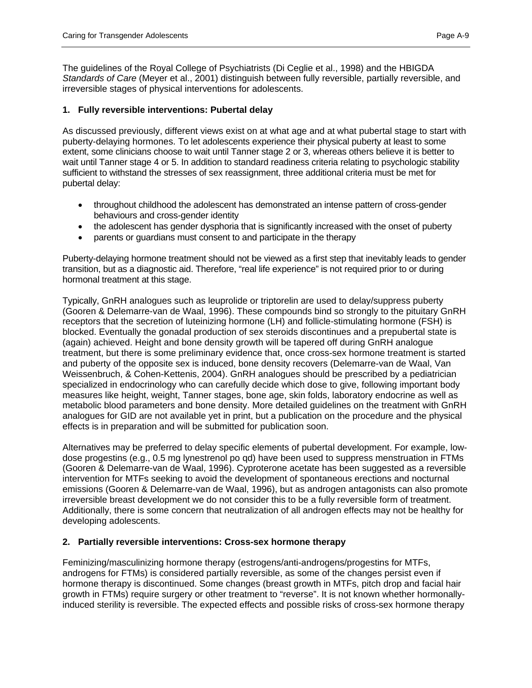The guidelines of the Royal College of Psychiatrists (Di Ceglie et al., 1998) and the HBIGDA *Standards of Care* (Meyer et al., 2001) distinguish between fully reversible, partially reversible, and irreversible stages of physical interventions for adolescents.

#### **1. Fully reversible interventions: Pubertal delay**

As discussed previously, different views exist on at what age and at what pubertal stage to start with puberty-delaying hormones. To let adolescents experience their physical puberty at least to some extent, some clinicians choose to wait until Tanner stage 2 or 3, whereas others believe it is better to wait until Tanner stage 4 or 5. In addition to standard readiness criteria relating to psychologic stability sufficient to withstand the stresses of sex reassignment, three additional criteria must be met for pubertal delay:

- throughout childhood the adolescent has demonstrated an intense pattern of cross-gender behaviours and cross-gender identity
- the adolescent has gender dysphoria that is significantly increased with the onset of puberty
- parents or guardians must consent to and participate in the therapy

Puberty-delaying hormone treatment should not be viewed as a first step that inevitably leads to gender transition, but as a diagnostic aid. Therefore, "real life experience" is not required prior to or during hormonal treatment at this stage.

Typically, GnRH analogues such as leuprolide or triptorelin are used to delay/suppress puberty (Gooren & Delemarre-van de Waal, 1996). These compounds bind so strongly to the pituitary GnRH receptors that the secretion of luteinizing hormone (LH) and follicle-stimulating hormone (FSH) is blocked. Eventually the gonadal production of sex steroids discontinues and a prepubertal state is (again) achieved. Height and bone density growth will be tapered off during GnRH analogue treatment, but there is some preliminary evidence that, once cross-sex hormone treatment is started and puberty of the opposite sex is induced, bone density recovers (Delemarre-van de Waal, Van Weissenbruch, & Cohen-Kettenis, 2004). GnRH analogues should be prescribed by a pediatrician specialized in endocrinology who can carefully decide which dose to give, following important body measures like height, weight, Tanner stages, bone age, skin folds, laboratory endocrine as well as metabolic blood parameters and bone density. More detailed guidelines on the treatment with GnRH analogues for GID are not available yet in print, but a publication on the procedure and the physical effects is in preparation and will be submitted for publication soon.

Alternatives may be preferred to delay specific elements of pubertal development. For example, lowdose progestins (e.g., 0.5 mg lynestrenol po qd) have been used to suppress menstruation in FTMs (Gooren & Delemarre-van de Waal, 1996). Cyproterone acetate has been suggested as a reversible intervention for MTFs seeking to avoid the development of spontaneous erections and nocturnal emissions (Gooren & Delemarre-van de Waal, 1996), but as androgen antagonists can also promote irreversible breast development we do not consider this to be a fully reversible form of treatment. Additionally, there is some concern that neutralization of all androgen effects may not be healthy for developing adolescents.

#### **2. Partially reversible interventions: Cross-sex hormone therapy**

Feminizing/masculinizing hormone therapy (estrogens/anti-androgens/progestins for MTFs, androgens for FTMs) is considered partially reversible, as some of the changes persist even if hormone therapy is discontinued. Some changes (breast growth in MTFs, pitch drop and facial hair growth in FTMs) require surgery or other treatment to "reverse". It is not known whether hormonallyinduced sterility is reversible. The expected effects and possible risks of cross-sex hormone therapy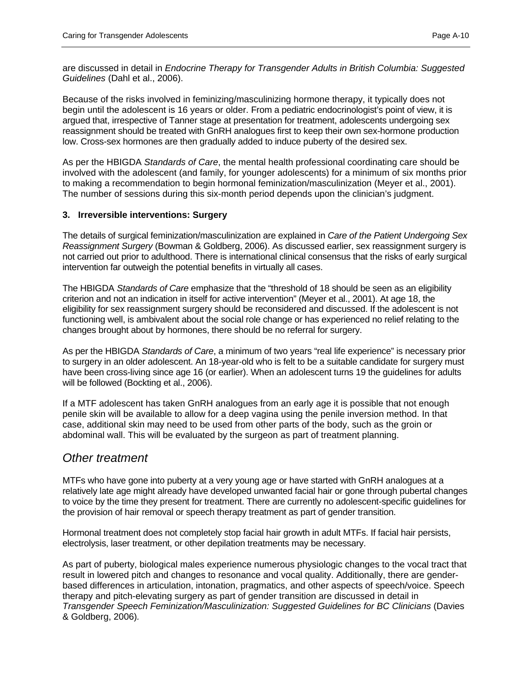<span id="page-13-0"></span>are discussed in detail in *Endocrine Therapy for Transgender Adults in British Columbia: Suggested Guidelines* (Dahl et al., 2006).

Because of the risks involved in feminizing/masculinizing hormone therapy, it typically does not begin until the adolescent is 16 years or older. From a pediatric endocrinologist's point of view, it is argued that, irrespective of Tanner stage at presentation for treatment, adolescents undergoing sex reassignment should be treated with GnRH analogues first to keep their own sex-hormone production low. Cross-sex hormones are then gradually added to induce puberty of the desired sex.

As per the HBIGDA *Standards of Care*, the mental health professional coordinating care should be involved with the adolescent (and family, for younger adolescents) for a minimum of six months prior to making a recommendation to begin hormonal feminization/masculinization (Meyer et al., 2001). The number of sessions during this six-month period depends upon the clinician's judgment.

#### **3. Irreversible interventions: Surgery**

The details of surgical feminization/masculinization are explained in *Care of the Patient Undergoing Sex Reassignment Surgery* (Bowman & Goldberg, 2006). As discussed earlier, sex reassignment surgery is not carried out prior to adulthood. There is international clinical consensus that the risks of early surgical intervention far outweigh the potential benefits in virtually all cases.

The HBIGDA *Standards of Care* emphasize that the "threshold of 18 should be seen as an eligibility criterion and not an indication in itself for active intervention" (Meyer et al., 2001). At age 18, the eligibility for sex reassignment surgery should be reconsidered and discussed. If the adolescent is not functioning well, is ambivalent about the social role change or has experienced no relief relating to the changes brought about by hormones, there should be no referral for surgery.

As per the HBIGDA *Standards of Care*, a minimum of two years "real life experience" is necessary prior to surgery in an older adolescent. An 18-year-old who is felt to be a suitable candidate for surgery must have been cross-living since age 16 (or earlier). When an adolescent turns 19 the guidelines for adults will be followed (Bockting et al., 2006).

If a MTF adolescent has taken GnRH analogues from an early age it is possible that not enough penile skin will be available to allow for a deep vagina using the penile inversion method. In that case, additional skin may need to be used from other parts of the body, such as the groin or abdominal wall. This will be evaluated by the surgeon as part of treatment planning.

#### *Other treatment*

MTFs who have gone into puberty at a very young age or have started with GnRH analogues at a relatively late age might already have developed unwanted facial hair or gone through pubertal changes to voice by the time they present for treatment. There are currently no adolescent-specific guidelines for the provision of hair removal or speech therapy treatment as part of gender transition.

Hormonal treatment does not completely stop facial hair growth in adult MTFs. If facial hair persists, electrolysis, laser treatment, or other depilation treatments may be necessary.

As part of puberty, biological males experience numerous physiologic changes to the vocal tract that result in lowered pitch and changes to resonance and vocal quality. Additionally, there are genderbased differences in articulation, intonation, pragmatics, and other aspects of speech/voice. Speech therapy and pitch-elevating surgery as part of gender transition are discussed in detail in *Transgender Speech Feminization/Masculinization: Suggested Guidelines for BC Clinicians* (Davies & Goldberg, 2006)*.*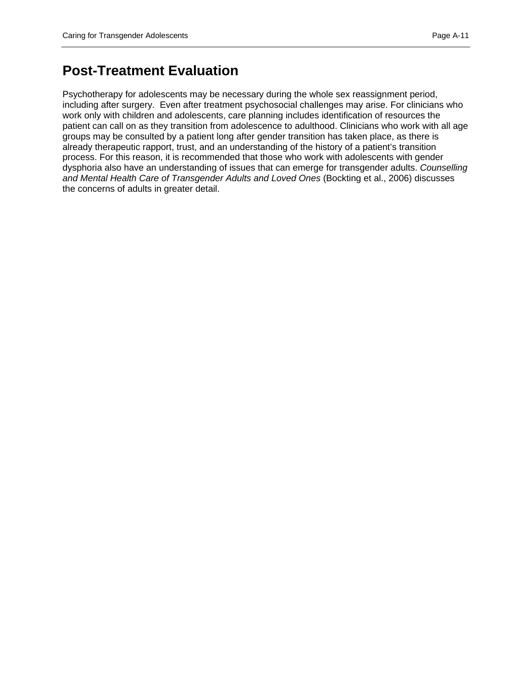# <span id="page-14-0"></span>**Post-Treatment Evaluation**

Psychotherapy for adolescents may be necessary during the whole sex reassignment period, including after surgery. Even after treatment psychosocial challenges may arise. For clinicians who work only with children and adolescents, care planning includes identification of resources the patient can call on as they transition from adolescence to adulthood. Clinicians who work with all age groups may be consulted by a patient long after gender transition has taken place, as there is already therapeutic rapport, trust, and an understanding of the history of a patient's transition process. For this reason, it is recommended that those who work with adolescents with gender dysphoria also have an understanding of issues that can emerge for transgender adults. *Counselling and Mental Health Care of Transgender Adults and Loved Ones* (Bockting et al., 2006) discusses the concerns of adults in greater detail.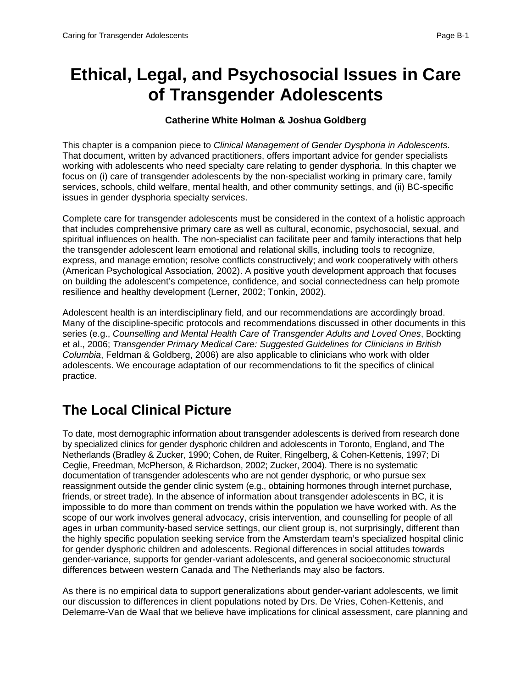# <span id="page-15-0"></span>**Ethical, Legal, and Psychosocial Issues in Care of Transgender Adolescents**

#### **Catherine White Holman & Joshua Goldberg**

This chapter is a companion piece to *Clinical Management of Gender Dysphoria in Adolescents*. That document, written by advanced practitioners, offers important advice for gender specialists working with adolescents who need specialty care relating to gender dysphoria. In this chapter we focus on (i) care of transgender adolescents by the non-specialist working in primary care, family services, schools, child welfare, mental health, and other community settings, and (ii) BC-specific issues in gender dysphoria specialty services.

Complete care for transgender adolescents must be considered in the context of a holistic approach that includes comprehensive primary care as well as cultural, economic, psychosocial, sexual, and spiritual influences on health. The non-specialist can facilitate peer and family interactions that help the transgender adolescent learn emotional and relational skills, including tools to recognize, express, and manage emotion; resolve conflicts constructively; and work cooperatively with others (American Psychological Association, 2002). A positive youth development approach that focuses on building the adolescent's competence, confidence, and social connectedness can help promote resilience and healthy development (Lerner, 2002; Tonkin, 2002).

Adolescent health is an interdisciplinary field, and our recommendations are accordingly broad. Many of the discipline-specific protocols and recommendations discussed in other documents in this series (e.g., *Counselling and Mental Health Care of Transgender Adults and Loved Ones*, Bockting et al., 2006; *Transgender Primary Medical Care: Suggested Guidelines for Clinicians in British Columbia*, Feldman & Goldberg, 2006) are also applicable to clinicians who work with older adolescents. We encourage adaptation of our recommendations to fit the specifics of clinical practice.

# **The Local Clinical Picture**

To date, most demographic information about transgender adolescents is derived from research done by specialized clinics for gender dysphoric children and adolescents in Toronto, England, and The Netherlands (Bradley & Zucker, 1990; Cohen, de Ruiter, Ringelberg, & Cohen-Kettenis, 1997; Di Ceglie, Freedman, McPherson, & Richardson, 2002; Zucker, 2004). There is no systematic documentation of transgender adolescents who are not gender dysphoric, or who pursue sex reassignment outside the gender clinic system (e.g., obtaining hormones through internet purchase, friends, or street trade). In the absence of information about transgender adolescents in BC, it is impossible to do more than comment on trends within the population we have worked with. As the scope of our work involves general advocacy, crisis intervention, and counselling for people of all ages in urban community-based service settings, our client group is, not surprisingly, different than the highly specific population seeking service from the Amsterdam team's specialized hospital clinic for gender dysphoric children and adolescents. Regional differences in social attitudes towards gender-variance, supports for gender-variant adolescents, and general socioeconomic structural differences between western Canada and The Netherlands may also be factors.

As there is no empirical data to support generalizations about gender-variant adolescents, we limit our discussion to differences in client populations noted by Drs. De Vries, Cohen-Kettenis, and Delemarre-Van de Waal that we believe have implications for clinical assessment, care planning and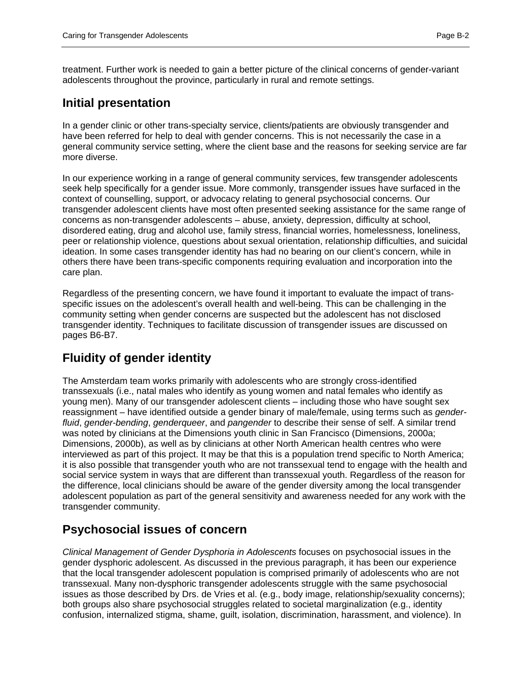<span id="page-16-0"></span>treatment. Further work is needed to gain a better picture of the clinical concerns of gender-variant adolescents throughout the province, particularly in rural and remote settings.

## **Initial presentation**

In a gender clinic or other trans-specialty service, clients/patients are obviously transgender and have been referred for help to deal with gender concerns. This is not necessarily the case in a general community service setting, where the client base and the reasons for seeking service are far more diverse.

In our experience working in a range of general community services, few transgender adolescents seek help specifically for a gender issue. More commonly, transgender issues have surfaced in the context of counselling, support, or advocacy relating to general psychosocial concerns. Our transgender adolescent clients have most often presented seeking assistance for the same range of concerns as non-transgender adolescents – abuse, anxiety, depression, difficulty at school, disordered eating, drug and alcohol use, family stress, financial worries, homelessness, loneliness, peer or relationship violence, questions about sexual orientation, relationship difficulties, and suicidal ideation. In some cases transgender identity has had no bearing on our client's concern, while in others there have been trans-specific components requiring evaluation and incorporation into the care plan.

Regardless of the presenting concern, we have found it important to evaluate the impact of transspecific issues on the adolescent's overall health and well-being. This can be challenging in the community setting when gender concerns are suspected but the adolescent has not disclosed transgender identity. Techniques to facilitate discussion of transgender issues are discussed on pages B6-B7.

# **Fluidity of gender identity**

The Amsterdam team works primarily with adolescents who are strongly cross-identified transsexuals (i.e., natal males who identify as young women and natal females who identify as young men). Many of our transgender adolescent clients – including those who have sought sex reassignment – have identified outside a gender binary of male/female, using terms such as *genderfluid*, *gender-bending*, *genderqueer*, and *pangender* to describe their sense of self. A similar trend was noted by clinicians at the Dimensions youth clinic in San Francisco (Dimensions, 2000a; Dimensions, 2000b), as well as by clinicians at other North American health centres who were interviewed as part of this project. It may be that this is a population trend specific to North America; it is also possible that transgender youth who are not transsexual tend to engage with the health and social service system in ways that are different than transsexual youth. Regardless of the reason for the difference, local clinicians should be aware of the gender diversity among the local transgender adolescent population as part of the general sensitivity and awareness needed for any work with the transgender community.

# **Psychosocial issues of concern**

*Clinical Management of Gender Dysphoria in Adolescents* focuses on psychosocial issues in the gender dysphoric adolescent. As discussed in the previous paragraph, it has been our experience that the local transgender adolescent population is comprised primarily of adolescents who are not transsexual. Many non-dysphoric transgender adolescents struggle with the same psychosocial issues as those described by Drs. de Vries et al. (e.g., body image, relationship/sexuality concerns); both groups also share psychosocial struggles related to societal marginalization (e.g., identity confusion, internalized stigma, shame, guilt, isolation, discrimination, harassment, and violence). In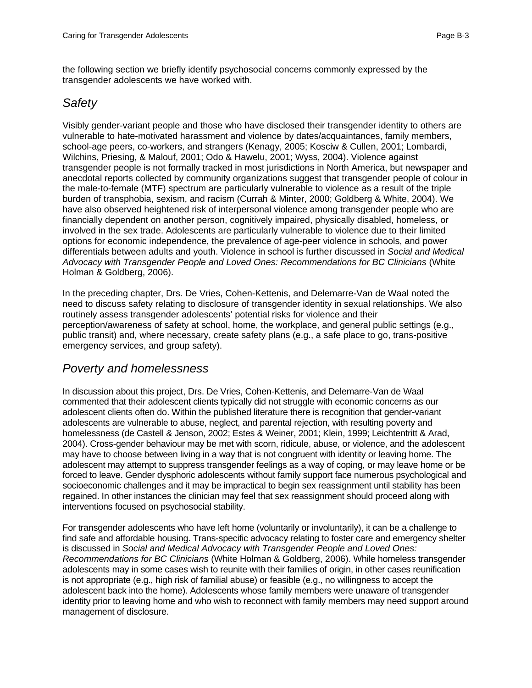<span id="page-17-0"></span>the following section we briefly identify psychosocial concerns commonly expressed by the transgender adolescents we have worked with.

## *Safety*

Visibly gender-variant people and those who have disclosed their transgender identity to others are vulnerable to hate-motivated harassment and violence by dates/acquaintances, family members, school-age peers, co-workers, and strangers (Kenagy, 2005; Kosciw & Cullen, 2001; Lombardi, Wilchins, Priesing, & Malouf, 2001; Odo & Hawelu, 2001; Wyss, 2004). Violence against transgender people is not formally tracked in most jurisdictions in North America, but newspaper and anecdotal reports collected by community organizations suggest that transgender people of colour in the male-to-female (MTF) spectrum are particularly vulnerable to violence as a result of the triple burden of transphobia, sexism, and racism (Currah & Minter, 2000; Goldberg & White, 2004). We have also observed heightened risk of interpersonal violence among transgender people who are financially dependent on another person, cognitively impaired, physically disabled, homeless, or involved in the sex trade. Adolescents are particularly vulnerable to violence due to their limited options for economic independence, the prevalence of age-peer violence in schools, and power differentials between adults and youth. Violence in school is further discussed in *Social and Medical Advocacy with Transgender People and Loved Ones: Recommendations for BC Clinicians* (White Holman & Goldberg, 2006).

In the preceding chapter, Drs. De Vries, Cohen-Kettenis, and Delemarre-Van de Waal noted the need to discuss safety relating to disclosure of transgender identity in sexual relationships. We also routinely assess transgender adolescents' potential risks for violence and their perception/awareness of safety at school, home, the workplace, and general public settings (e.g., public transit) and, where necessary, create safety plans (e.g., a safe place to go, trans-positive emergency services, and group safety).

## *Poverty and homelessness*

In discussion about this project, Drs. De Vries, Cohen-Kettenis, and Delemarre-Van de Waal commented that their adolescent clients typically did not struggle with economic concerns as our adolescent clients often do. Within the published literature there is recognition that gender-variant adolescents are vulnerable to abuse, neglect, and parental rejection, with resulting poverty and homelessness (de Castell & Jenson, 2002; Estes & Weiner, 2001; Klein, 1999; Leichtentritt & Arad, 2004). Cross-gender behaviour may be met with scorn, ridicule, abuse, or violence, and the adolescent may have to choose between living in a way that is not congruent with identity or leaving home. The adolescent may attempt to suppress transgender feelings as a way of coping, or may leave home or be forced to leave. Gender dysphoric adolescents without family support face numerous psychological and socioeconomic challenges and it may be impractical to begin sex reassignment until stability has been regained. In other instances the clinician may feel that sex reassignment should proceed along with interventions focused on psychosocial stability.

For transgender adolescents who have left home (voluntarily or involuntarily), it can be a challenge to find safe and affordable housing. Trans-specific advocacy relating to foster care and emergency shelter is discussed in *Social and Medical Advocacy with Transgender People and Loved Ones: Recommendations for BC Clinicians* (White Holman & Goldberg, 2006). While homeless transgender adolescents may in some cases wish to reunite with their families of origin, in other cases reunification is not appropriate (e.g., high risk of familial abuse) or feasible (e.g., no willingness to accept the adolescent back into the home). Adolescents whose family members were unaware of transgender identity prior to leaving home and who wish to reconnect with family members may need support around management of disclosure.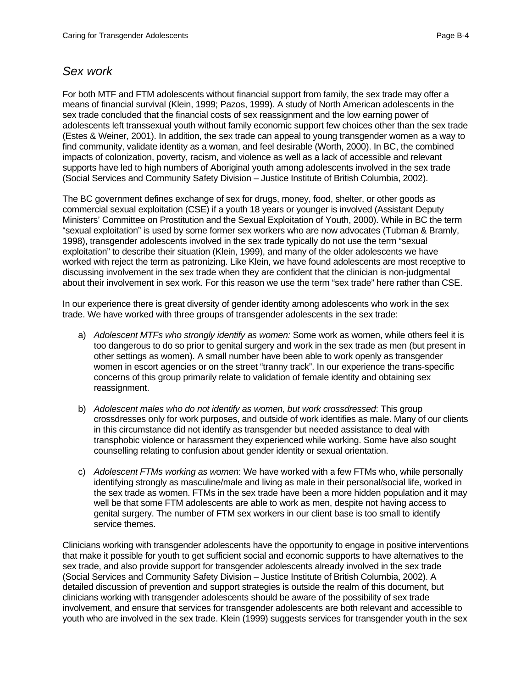## <span id="page-18-0"></span>*Sex work*

For both MTF and FTM adolescents without financial support from family, the sex trade may offer a means of financial survival (Klein, 1999; Pazos, 1999). A study of North American adolescents in the sex trade concluded that the financial costs of sex reassignment and the low earning power of adolescents left transsexual youth without family economic support few choices other than the sex trade (Estes & Weiner, 2001). In addition, the sex trade can appeal to young transgender women as a way to find community, validate identity as a woman, and feel desirable (Worth, 2000). In BC, the combined impacts of colonization, poverty, racism, and violence as well as a lack of accessible and relevant supports have led to high numbers of Aboriginal youth among adolescents involved in the sex trade (Social Services and Community Safety Division – Justice Institute of British Columbia, 2002).

The BC government defines exchange of sex for drugs, money, food, shelter, or other goods as commercial sexual exploitation (CSE) if a youth 18 years or younger is involved (Assistant Deputy Ministers' Committee on Prostitution and the Sexual Exploitation of Youth, 2000). While in BC the term "sexual exploitation" is used by some former sex workers who are now advocates (Tubman & Bramly, 1998), transgender adolescents involved in the sex trade typically do not use the term "sexual exploitation" to describe their situation (Klein, 1999), and many of the older adolescents we have worked with reject the term as patronizing. Like Klein, we have found adolescents are most receptive to discussing involvement in the sex trade when they are confident that the clinician is non-judgmental about their involvement in sex work. For this reason we use the term "sex trade" here rather than CSE.

In our experience there is great diversity of gender identity among adolescents who work in the sex trade. We have worked with three groups of transgender adolescents in the sex trade:

- a) *Adolescent MTFs who strongly identify as women:* Some work as women, while others feel it is too dangerous to do so prior to genital surgery and work in the sex trade as men (but present in other settings as women). A small number have been able to work openly as transgender women in escort agencies or on the street "tranny track". In our experience the trans-specific concerns of this group primarily relate to validation of female identity and obtaining sex reassignment.
- b) *Adolescent males who do not identify as women, but work crossdressed*: This group crossdresses only for work purposes, and outside of work identifies as male. Many of our clients in this circumstance did not identify as transgender but needed assistance to deal with transphobic violence or harassment they experienced while working. Some have also sought counselling relating to confusion about gender identity or sexual orientation.
- c) *Adolescent FTMs working as women*: We have worked with a few FTMs who, while personally identifying strongly as masculine/male and living as male in their personal/social life, worked in the sex trade as women. FTMs in the sex trade have been a more hidden population and it may well be that some FTM adolescents are able to work as men, despite not having access to genital surgery. The number of FTM sex workers in our client base is too small to identify service themes.

Clinicians working with transgender adolescents have the opportunity to engage in positive interventions that make it possible for youth to get sufficient social and economic supports to have alternatives to the sex trade, and also provide support for transgender adolescents already involved in the sex trade (Social Services and Community Safety Division – Justice Institute of British Columbia, 2002). A detailed discussion of prevention and support strategies is outside the realm of this document, but clinicians working with transgender adolescents should be aware of the possibility of sex trade involvement, and ensure that services for transgender adolescents are both relevant and accessible to youth who are involved in the sex trade. Klein (1999) suggests services for transgender youth in the sex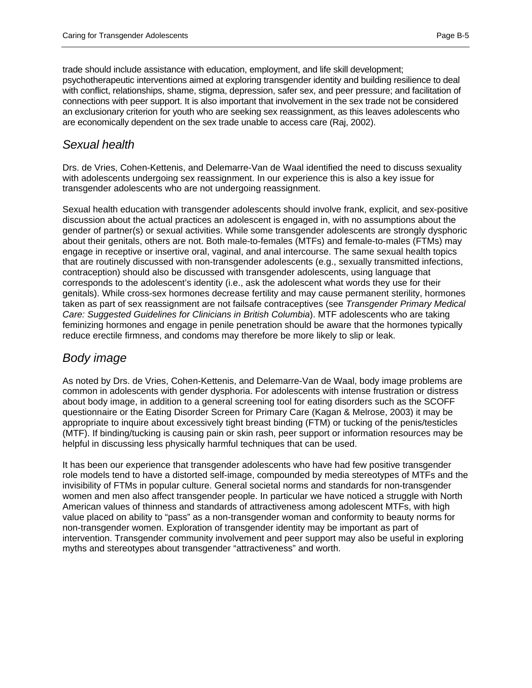<span id="page-19-0"></span>trade should include assistance with education, employment, and life skill development; psychotherapeutic interventions aimed at exploring transgender identity and building resilience to deal with conflict, relationships, shame, stigma, depression, safer sex, and peer pressure; and facilitation of connections with peer support. It is also important that involvement in the sex trade not be considered an exclusionary criterion for youth who are seeking sex reassignment, as this leaves adolescents who are economically dependent on the sex trade unable to access care (Raj, 2002).

### *Sexual health*

Drs. de Vries, Cohen-Kettenis, and Delemarre-Van de Waal identified the need to discuss sexuality with adolescents undergoing sex reassignment. In our experience this is also a key issue for transgender adolescents who are not undergoing reassignment.

Sexual health education with transgender adolescents should involve frank, explicit, and sex-positive discussion about the actual practices an adolescent is engaged in, with no assumptions about the gender of partner(s) or sexual activities. While some transgender adolescents are strongly dysphoric about their genitals, others are not. Both male-to-females (MTFs) and female-to-males (FTMs) may engage in receptive or insertive oral, vaginal, and anal intercourse. The same sexual health topics that are routinely discussed with non-transgender adolescents (e.g., sexually transmitted infections, contraception) should also be discussed with transgender adolescents, using language that corresponds to the adolescent's identity (i.e., ask the adolescent what words they use for their genitals). While cross-sex hormones decrease fertility and may cause permanent sterility, hormones taken as part of sex reassignment are not failsafe contraceptives (see *Transgender Primary Medical Care: Suggested Guidelines for Clinicians in British Columbia*). MTF adolescents who are taking feminizing hormones and engage in penile penetration should be aware that the hormones typically reduce erectile firmness, and condoms may therefore be more likely to slip or leak.

## *Body image*

As noted by Drs. de Vries, Cohen-Kettenis, and Delemarre-Van de Waal, body image problems are common in adolescents with gender dysphoria. For adolescents with intense frustration or distress about body image, in addition to a general screening tool for eating disorders such as the SCOFF questionnaire or the Eating Disorder Screen for Primary Care (Kagan & Melrose, 2003) it may be appropriate to inquire about excessively tight breast binding (FTM) or tucking of the penis/testicles (MTF). If binding/tucking is causing pain or skin rash, peer support or information resources may be helpful in discussing less physically harmful techniques that can be used.

It has been our experience that transgender adolescents who have had few positive transgender role models tend to have a distorted self-image, compounded by media stereotypes of MTFs and the invisibility of FTMs in popular culture. General societal norms and standards for non-transgender women and men also affect transgender people. In particular we have noticed a struggle with North American values of thinness and standards of attractiveness among adolescent MTFs, with high value placed on ability to "pass" as a non-transgender woman and conformity to beauty norms for non-transgender women. Exploration of transgender identity may be important as part of intervention. Transgender community involvement and peer support may also be useful in exploring myths and stereotypes about transgender "attractiveness" and worth.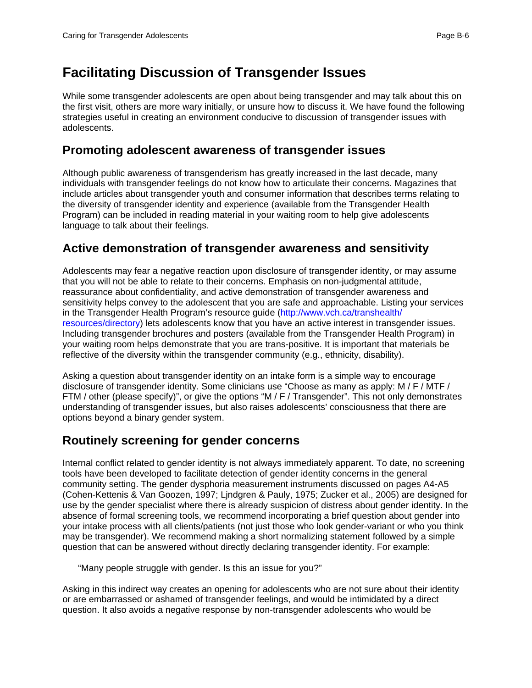# <span id="page-20-0"></span>**Facilitating Discussion of Transgender Issues**

While some transgender adolescents are open about being transgender and may talk about this on the first visit, others are more wary initially, or unsure how to discuss it. We have found the following strategies useful in creating an environment conducive to discussion of transgender issues with adolescents.

### **Promoting adolescent awareness of transgender issues**

Although public awareness of transgenderism has greatly increased in the last decade, many individuals with transgender feelings do not know how to articulate their concerns. Magazines that include articles about transgender youth and consumer information that describes terms relating to the diversity of transgender identity and experience (available from the Transgender Health Program) can be included in reading material in your waiting room to help give adolescents language to talk about their feelings.

## **Active demonstration of transgender awareness and sensitivity**

Adolescents may fear a negative reaction upon disclosure of transgender identity, or may assume that you will not be able to relate to their concerns. Emphasis on non-judgmental attitude, reassurance about confidentiality, and active demonstration of transgender awareness and sensitivity helps convey to the adolescent that you are safe and approachable. Listing your services in the Transgender Health Program's resource guide [\(http://www.vch.ca/transhealth/](http://www.vch.ca/transhealth/%20resources/directory)  [resources/directory](http://www.vch.ca/transhealth/%20resources/directory)) lets adolescents know that you have an active interest in transgender issues. Including transgender brochures and posters (available from the Transgender Health Program) in your waiting room helps demonstrate that you are trans-positive. It is important that materials be reflective of the diversity within the transgender community (e.g., ethnicity, disability).

Asking a question about transgender identity on an intake form is a simple way to encourage disclosure of transgender identity. Some clinicians use "Choose as many as apply: M / F / MTF / FTM / other (please specify)", or give the options "M / F / Transgender". This not only demonstrates understanding of transgender issues, but also raises adolescents' consciousness that there are options beyond a binary gender system.

## **Routinely screening for gender concerns**

Internal conflict related to gender identity is not always immediately apparent. To date, no screening tools have been developed to facilitate detection of gender identity concerns in the general community setting. The gender dysphoria measurement instruments discussed on pages A4-A5 (Cohen-Kettenis & Van Goozen, 1997; Ljndgren & Pauly, 1975; Zucker et al., 2005) are designed for use by the gender specialist where there is already suspicion of distress about gender identity. In the absence of formal screening tools, we recommend incorporating a brief question about gender into your intake process with all clients/patients (not just those who look gender-variant or who you think may be transgender). We recommend making a short normalizing statement followed by a simple question that can be answered without directly declaring transgender identity. For example:

"Many people struggle with gender. Is this an issue for you?"

Asking in this indirect way creates an opening for adolescents who are not sure about their identity or are embarrassed or ashamed of transgender feelings, and would be intimidated by a direct question. It also avoids a negative response by non-transgender adolescents who would be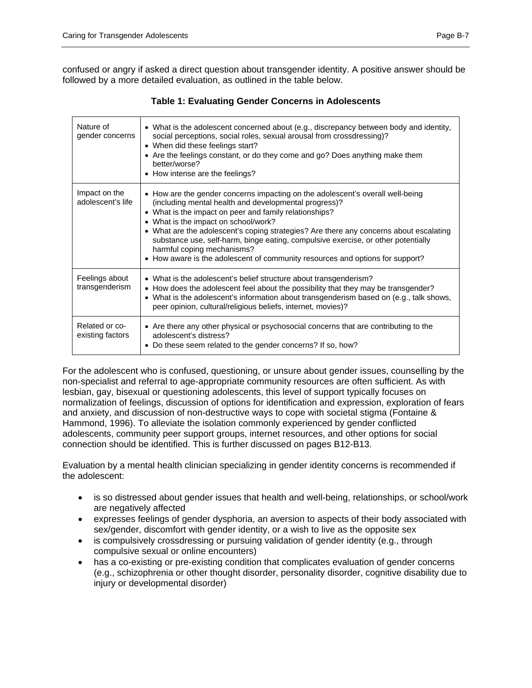confused or angry if asked a direct question about transgender identity. A positive answer should be followed by a more detailed evaluation, as outlined in the table below.

| Nature of<br>gender concerns       | • What is the adolescent concerned about (e.g., discrepancy between body and identity,<br>social perceptions, social roles, sexual arousal from crossdressing)?<br>• When did these feelings start?<br>• Are the feelings constant, or do they come and go? Does anything make them<br>hetter/worse?<br>• How intense are the feelings?                                                                                                                                                                                                 |
|------------------------------------|-----------------------------------------------------------------------------------------------------------------------------------------------------------------------------------------------------------------------------------------------------------------------------------------------------------------------------------------------------------------------------------------------------------------------------------------------------------------------------------------------------------------------------------------|
| Impact on the<br>adolescent's life | • How are the gender concerns impacting on the adolescent's overall well-being<br>(including mental health and developmental progress)?<br>• What is the impact on peer and family relationships?<br>• What is the impact on school/work?<br>• What are the adolescent's coping strategies? Are there any concerns about escalating<br>substance use, self-harm, binge eating, compulsive exercise, or other potentially<br>harmful coping mechanisms?<br>• How aware is the adolescent of community resources and options for support? |
| Feelings about<br>transgenderism   | • What is the adolescent's belief structure about transgenderism?<br>• How does the adolescent feel about the possibility that they may be transgender?<br>• What is the adolescent's information about transgenderism based on (e.g., talk shows,<br>peer opinion, cultural/religious beliefs, internet, movies)?                                                                                                                                                                                                                      |
| Related or co-<br>existing factors | • Are there any other physical or psychosocial concerns that are contributing to the<br>adolescent's distress?<br>• Do these seem related to the gender concerns? If so, how?                                                                                                                                                                                                                                                                                                                                                           |

#### **Table 1: Evaluating Gender Concerns in Adolescents**

For the adolescent who is confused, questioning, or unsure about gender issues, counselling by the non-specialist and referral to age-appropriate community resources are often sufficient. As with lesbian, gay, bisexual or questioning adolescents, this level of support typically focuses on normalization of feelings, discussion of options for identification and expression, exploration of fears and anxiety, and discussion of non-destructive ways to cope with societal stigma (Fontaine & Hammond, 1996). To alleviate the isolation commonly experienced by gender conflicted adolescents, community peer support groups, internet resources, and other options for social connection should be identified. This is further discussed on pages B12-B13.

Evaluation by a mental health clinician specializing in gender identity concerns is recommended if the adolescent:

- is so distressed about gender issues that health and well-being, relationships, or school/work are negatively affected
- expresses feelings of gender dysphoria, an aversion to aspects of their body associated with sex/gender, discomfort with gender identity, or a wish to live as the opposite sex
- is compulsively crossdressing or pursuing validation of gender identity (e.g., through compulsive sexual or online encounters)
- has a co-existing or pre-existing condition that complicates evaluation of gender concerns (e.g., schizophrenia or other thought disorder, personality disorder, cognitive disability due to injury or developmental disorder)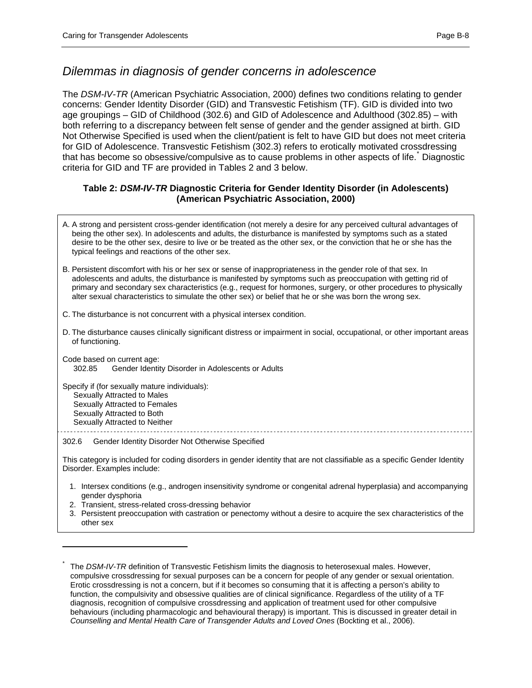$\overline{a}$ 

## <span id="page-22-0"></span>*Dilemmas in diagnosis of gender concerns in adolescence*

The *DSM-IV-TR* (American Psychiatric Association, 2000) defines two conditions relating to gender concerns: Gender Identity Disorder (GID) and Transvestic Fetishism (TF). GID is divided into two age groupings – GID of Childhood (302.6) and GID of Adolescence and Adulthood (302.85) – with both referring to a discrepancy between felt sense of gender and the gender assigned at birth. GID Not Otherwise Specified is used when the client/patient is felt to have GID but does not meet criteria for GID of Adolescence. Transvestic Fetishism (302.3) refers to erotically motivated crossdressing that has become so obsessive/compulsive as to cause problems in other aspects of life. Diagnostic criteria for GID and TF are provided in Tables 2 and 3 below.

#### **Table 2:** *DSM-IV-TR* **Diagnostic Criteria for Gender Identity Disorder (in Adolescents) (American Psychiatric Association, 2000)**

|                                                                                                                                                                              | A. A strong and persistent cross-gender identification (not merely a desire for any perceived cultural advantages of<br>being the other sex). In adolescents and adults, the disturbance is manifested by symptoms such as a stated<br>desire to be the other sex, desire to live or be treated as the other sex, or the conviction that he or she has the<br>typical feelings and reactions of the other sex.                                                |  |
|------------------------------------------------------------------------------------------------------------------------------------------------------------------------------|---------------------------------------------------------------------------------------------------------------------------------------------------------------------------------------------------------------------------------------------------------------------------------------------------------------------------------------------------------------------------------------------------------------------------------------------------------------|--|
|                                                                                                                                                                              | B. Persistent discomfort with his or her sex or sense of inappropriateness in the gender role of that sex. In<br>adolescents and adults, the disturbance is manifested by symptoms such as preoccupation with getting rid of<br>primary and secondary sex characteristics (e.g., request for hormones, surgery, or other procedures to physically<br>alter sexual characteristics to simulate the other sex) or belief that he or she was born the wrong sex. |  |
|                                                                                                                                                                              | C. The disturbance is not concurrent with a physical intersex condition.                                                                                                                                                                                                                                                                                                                                                                                      |  |
|                                                                                                                                                                              | D. The disturbance causes clinically significant distress or impairment in social, occupational, or other important areas<br>of functioning.                                                                                                                                                                                                                                                                                                                  |  |
|                                                                                                                                                                              | Code based on current age:<br>Gender Identity Disorder in Adolescents or Adults<br>302.85                                                                                                                                                                                                                                                                                                                                                                     |  |
| Specify if (for sexually mature individuals):<br>Sexually Attracted to Males<br>Sexually Attracted to Females<br>Sexually Attracted to Both<br>Sexually Attracted to Neither |                                                                                                                                                                                                                                                                                                                                                                                                                                                               |  |
|                                                                                                                                                                              | Gender Identity Disorder Not Otherwise Specified<br>302.6                                                                                                                                                                                                                                                                                                                                                                                                     |  |
|                                                                                                                                                                              | This category is included for coding disorders in gender identity that are not classifiable as a specific Gender Identity<br>Disorder. Examples include:                                                                                                                                                                                                                                                                                                      |  |
|                                                                                                                                                                              | 1. Intersex conditions (e.g., androgen insensitivity syndrome or congenital adrenal hyperplasia) and accompanying<br>gender dysphoria<br>2. Transient, stress-related cross-dressing behavior                                                                                                                                                                                                                                                                 |  |
|                                                                                                                                                                              | . Se se se concelho de seu alterador de las secundarias de la característica estador de la decidad de la falla<br>. An the theory of a complete state of the theory of the state of the state of the state of the state of the s                                                                                                                                                                                                                              |  |

3. Persistent preoccupation with castration or penectomy without a desire to acquire the sex characteristics of the other sex

<sup>\*</sup> The *DSM-IV-TR* definition of Transvestic Fetishism limits the diagnosis to heterosexual males. However, compulsive crossdressing for sexual purposes can be a concern for people of any gender or sexual orientation. Erotic crossdressing is not a concern, but if it becomes so consuming that it is affecting a person's ability to function, the compulsivity and obsessive qualities are of clinical significance. Regardless of the utility of a TF diagnosis, recognition of compulsive crossdressing and application of treatment used for other compulsive behaviours (including pharmacologic and behavioural therapy) is important. This is discussed in greater detail in *Counselling and Mental Health Care of Transgender Adults and Loved Ones* (Bockting et al., 2006).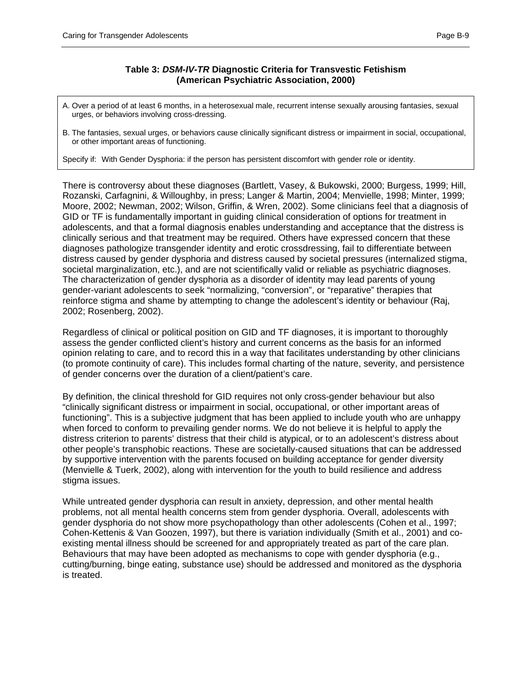#### **Table 3:** *DSM-IV-TR* **Diagnostic Criteria for Transvestic Fetishism (American Psychiatric Association, 2000)**

- A. Over a period of at least 6 months, in a heterosexual male, recurrent intense sexually arousing fantasies, sexual urges, or behaviors involving cross-dressing.
- B. The fantasies, sexual urges, or behaviors cause clinically significant distress or impairment in social, occupational, or other important areas of functioning.

Specify if: With Gender Dysphoria: if the person has persistent discomfort with gender role or identity.

There is controversy about these diagnoses (Bartlett, Vasey, & Bukowski, 2000; Burgess, 1999; Hill, Rozanski, Carfagnini, & Willoughby, in press; Langer & Martin, 2004; Menvielle, 1998; Minter, 1999; Moore, 2002; Newman, 2002; Wilson, Griffin, & Wren, 2002). Some clinicians feel that a diagnosis of GID or TF is fundamentally important in guiding clinical consideration of options for treatment in adolescents, and that a formal diagnosis enables understanding and acceptance that the distress is clinically serious and that treatment may be required. Others have expressed concern that these diagnoses pathologize transgender identity and erotic crossdressing, fail to differentiate between distress caused by gender dysphoria and distress caused by societal pressures (internalized stigma, societal marginalization, etc.), and are not scientifically valid or reliable as psychiatric diagnoses. The characterization of gender dysphoria as a disorder of identity may lead parents of young gender-variant adolescents to seek "normalizing, "conversion", or "reparative" therapies that reinforce stigma and shame by attempting to change the adolescent's identity or behaviour (Raj, 2002; Rosenberg, 2002).

Regardless of clinical or political position on GID and TF diagnoses, it is important to thoroughly assess the gender conflicted client's history and current concerns as the basis for an informed opinion relating to care, and to record this in a way that facilitates understanding by other clinicians (to promote continuity of care). This includes formal charting of the nature, severity, and persistence of gender concerns over the duration of a client/patient's care.

By definition, the clinical threshold for GID requires not only cross-gender behaviour but also "clinically significant distress or impairment in social, occupational, or other important areas of functioning". This is a subjective judgment that has been applied to include youth who are unhappy when forced to conform to prevailing gender norms. We do not believe it is helpful to apply the distress criterion to parents' distress that their child is atypical, or to an adolescent's distress about other people's transphobic reactions. These are societally-caused situations that can be addressed by supportive intervention with the parents focused on building acceptance for gender diversity (Menvielle & Tuerk, 2002), along with intervention for the youth to build resilience and address stigma issues.

While untreated gender dysphoria can result in anxiety, depression, and other mental health problems, not all mental health concerns stem from gender dysphoria. Overall, adolescents with gender dysphoria do not show more psychopathology than other adolescents (Cohen et al., 1997; Cohen-Kettenis & Van Goozen, 1997), but there is variation individually (Smith et al., 2001) and coexisting mental illness should be screened for and appropriately treated as part of the care plan. Behaviours that may have been adopted as mechanisms to cope with gender dysphoria (e.g., cutting/burning, binge eating, substance use) should be addressed and monitored as the dysphoria is treated.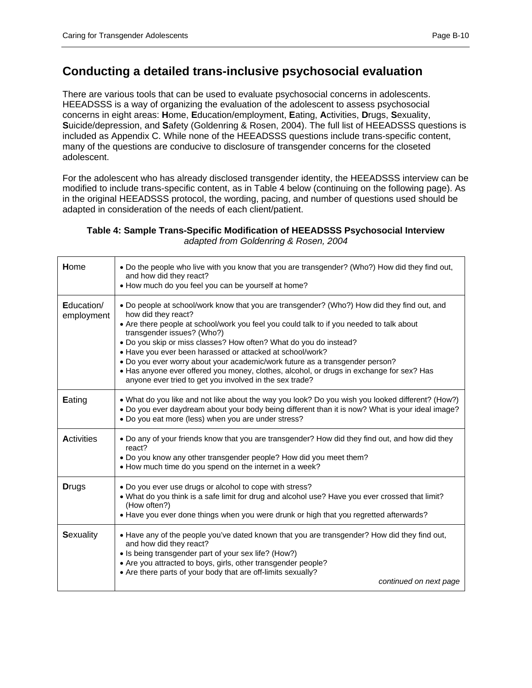## <span id="page-24-0"></span>**Conducting a detailed trans-inclusive psychosocial evaluation**

There are various tools that can be used to evaluate psychosocial concerns in adolescents. HEEADSSS is a way of organizing the evaluation of the adolescent to assess psychosocial concerns in eight areas: **H**ome, **E**ducation/employment, **E**ating, **A**ctivities, **D**rugs, **S**exuality, **S**uicide/depression, and **S**afety (Goldenring & Rosen, 2004). The full list of HEEADSSS questions is included as Appendix C. While none of the HEEADSSS questions include trans-specific content, many of the questions are conducive to disclosure of transgender concerns for the closeted adolescent.

For the adolescent who has already disclosed transgender identity, the HEEADSSS interview can be modified to include trans-specific content, as in Table 4 below (continuing on the following page). As in the original HEEADSSS protocol, the wording, pacing, and number of questions used should be adapted in consideration of the needs of each client/patient.

#### **Table 4: Sample Trans-Specific Modification of HEEADSSS Psychosocial Interview**  *adapted from Goldenring & Rosen, 2004*

| Home                     | . Do the people who live with you know that you are transgender? (Who?) How did they find out,<br>and how did they react?<br>. How much do you feel you can be yourself at home?                                                                                                                                                                                                                                                                                                                                                                                                                                      |  |
|--------------------------|-----------------------------------------------------------------------------------------------------------------------------------------------------------------------------------------------------------------------------------------------------------------------------------------------------------------------------------------------------------------------------------------------------------------------------------------------------------------------------------------------------------------------------------------------------------------------------------------------------------------------|--|
| Education/<br>employment | . Do people at school/work know that you are transgender? (Who?) How did they find out, and<br>how did they react?<br>• Are there people at school/work you feel you could talk to if you needed to talk about<br>transgender issues? (Who?)<br>. Do you skip or miss classes? How often? What do you do instead?<br>• Have you ever been harassed or attacked at school/work?<br>. Do you ever worry about your academic/work future as a transgender person?<br>• Has anyone ever offered you money, clothes, alcohol, or drugs in exchange for sex? Has<br>anyone ever tried to get you involved in the sex trade? |  |
| Eating                   | . What do you like and not like about the way you look? Do you wish you looked different? (How?)<br>. Do you ever daydream about your body being different than it is now? What is your ideal image?<br>. Do you eat more (less) when you are under stress?                                                                                                                                                                                                                                                                                                                                                           |  |
| <b>Activities</b>        | . Do any of your friends know that you are transgender? How did they find out, and how did they<br>react?<br>. Do you know any other transgender people? How did you meet them?<br>. How much time do you spend on the internet in a week?                                                                                                                                                                                                                                                                                                                                                                            |  |
| <b>Drugs</b>             | . Do you ever use drugs or alcohol to cope with stress?<br>. What do you think is a safe limit for drug and alcohol use? Have you ever crossed that limit?<br>(How often?)<br>• Have you ever done things when you were drunk or high that you regretted afterwards?                                                                                                                                                                                                                                                                                                                                                  |  |
| <b>Sexuality</b>         | • Have any of the people you've dated known that you are transgender? How did they find out,<br>and how did they react?<br>• Is being transgender part of your sex life? (How?)<br>• Are you attracted to boys, girls, other transgender people?<br>• Are there parts of your body that are off-limits sexually?<br>continued on next page                                                                                                                                                                                                                                                                            |  |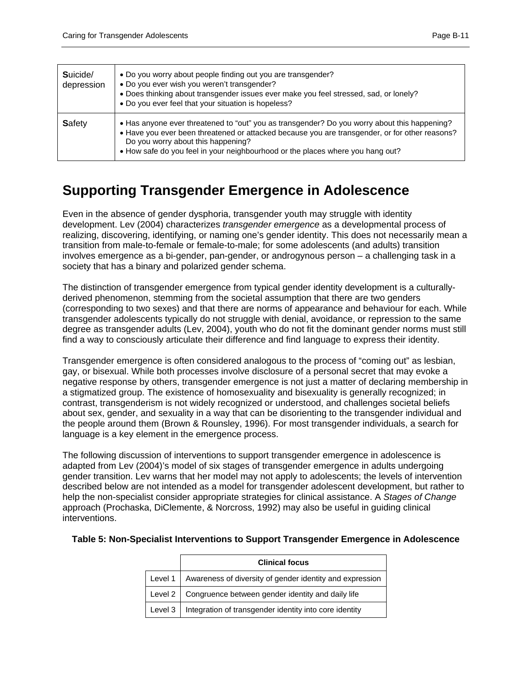<span id="page-25-0"></span>

| Suicide/<br>depression | • Do you worry about people finding out you are transgender?<br>. Do you ever wish you weren't transgender?<br>. Does thinking about transgender issues ever make you feel stressed, sad, or lonely?<br>. Do you ever feel that your situation is hopeless?                                                            |
|------------------------|------------------------------------------------------------------------------------------------------------------------------------------------------------------------------------------------------------------------------------------------------------------------------------------------------------------------|
| <b>Safety</b>          | • Has anyone ever threatened to "out" you as transgender? Do you worry about this happening?<br>• Have you ever been threatened or attacked because you are transgender, or for other reasons?<br>Do you worry about this happening?<br>• How safe do you feel in your neighbourhood or the places where you hang out? |

# **Supporting Transgender Emergence in Adolescence**

Even in the absence of gender dysphoria, transgender youth may struggle with identity development. Lev (2004) characterizes *transgender emergence* as a developmental process of realizing, discovering, identifying, or naming one's gender identity. This does not necessarily mean a transition from male-to-female or female-to-male; for some adolescents (and adults) transition involves emergence as a bi-gender, pan-gender, or androgynous person – a challenging task in a society that has a binary and polarized gender schema.

The distinction of transgender emergence from typical gender identity development is a culturallyderived phenomenon, stemming from the societal assumption that there are two genders (corresponding to two sexes) and that there are norms of appearance and behaviour for each. While transgender adolescents typically do not struggle with denial, avoidance, or repression to the same degree as transgender adults (Lev, 2004), youth who do not fit the dominant gender norms must still find a way to consciously articulate their difference and find language to express their identity.

Transgender emergence is often considered analogous to the process of "coming out" as lesbian, gay, or bisexual. While both processes involve disclosure of a personal secret that may evoke a negative response by others, transgender emergence is not just a matter of declaring membership in a stigmatized group. The existence of homosexuality and bisexuality is generally recognized; in contrast, transgenderism is not widely recognized or understood, and challenges societal beliefs about sex, gender, and sexuality in a way that can be disorienting to the transgender individual and the people around them (Brown & Rounsley, 1996). For most transgender individuals, a search for language is a key element in the emergence process.

The following discussion of interventions to support transgender emergence in adolescence is adapted from Lev (2004)'s model of six stages of transgender emergence in adults undergoing gender transition. Lev warns that her model may not apply to adolescents; the levels of intervention described below are not intended as a model for transgender adolescent development, but rather to help the non-specialist consider appropriate strategies for clinical assistance. A *Stages of Change* approach (Prochaska, DiClemente, & Norcross, 1992) may also be useful in guiding clinical interventions.

| <b>Clinical focus</b>                                              |  |
|--------------------------------------------------------------------|--|
| Level 1   Awareness of diversity of gender identity and expression |  |
| Level 2   Congruence between gender identity and daily life        |  |
| Level 3   Integration of transgender identity into core identity   |  |

#### **Table 5: Non-Specialist Interventions to Support Transgender Emergence in Adolescence**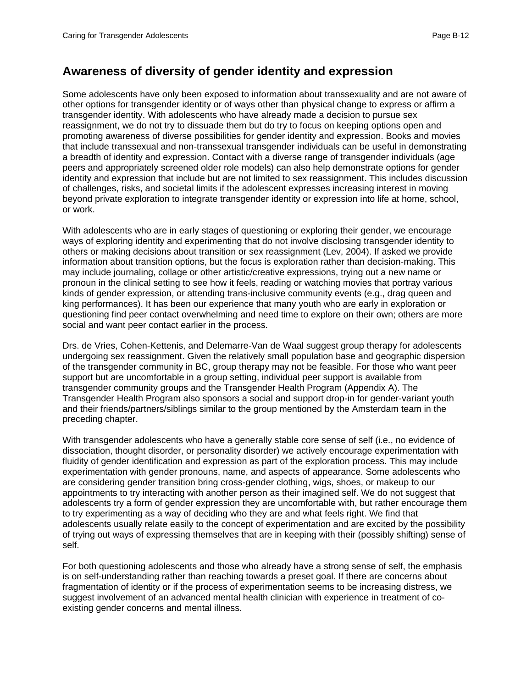## <span id="page-26-0"></span>**Awareness of diversity of gender identity and expression**

Some adolescents have only been exposed to information about transsexuality and are not aware of other options for transgender identity or of ways other than physical change to express or affirm a transgender identity. With adolescents who have already made a decision to pursue sex reassignment, we do not try to dissuade them but do try to focus on keeping options open and promoting awareness of diverse possibilities for gender identity and expression. Books and movies that include transsexual and non-transsexual transgender individuals can be useful in demonstrating a breadth of identity and expression. Contact with a diverse range of transgender individuals (age peers and appropriately screened older role models) can also help demonstrate options for gender identity and expression that include but are not limited to sex reassignment. This includes discussion of challenges, risks, and societal limits if the adolescent expresses increasing interest in moving beyond private exploration to integrate transgender identity or expression into life at home, school, or work.

With adolescents who are in early stages of questioning or exploring their gender, we encourage ways of exploring identity and experimenting that do not involve disclosing transgender identity to others or making decisions about transition or sex reassignment (Lev, 2004). If asked we provide information about transition options, but the focus is exploration rather than decision-making. This may include journaling, collage or other artistic/creative expressions, trying out a new name or pronoun in the clinical setting to see how it feels, reading or watching movies that portray various kinds of gender expression, or attending trans-inclusive community events (e.g., drag queen and king performances). It has been our experience that many youth who are early in exploration or questioning find peer contact overwhelming and need time to explore on their own; others are more social and want peer contact earlier in the process.

Drs. de Vries, Cohen-Kettenis, and Delemarre-Van de Waal suggest group therapy for adolescents undergoing sex reassignment. Given the relatively small population base and geographic dispersion of the transgender community in BC, group therapy may not be feasible. For those who want peer support but are uncomfortable in a group setting, individual peer support is available from transgender community groups and the Transgender Health Program (Appendix A). The Transgender Health Program also sponsors a social and support drop-in for gender-variant youth and their friends/partners/siblings similar to the group mentioned by the Amsterdam team in the preceding chapter.

With transgender adolescents who have a generally stable core sense of self (i.e., no evidence of dissociation, thought disorder, or personality disorder) we actively encourage experimentation with fluidity of gender identification and expression as part of the exploration process. This may include experimentation with gender pronouns, name, and aspects of appearance. Some adolescents who are considering gender transition bring cross-gender clothing, wigs, shoes, or makeup to our appointments to try interacting with another person as their imagined self. We do not suggest that adolescents try a form of gender expression they are uncomfortable with, but rather encourage them to try experimenting as a way of deciding who they are and what feels right. We find that adolescents usually relate easily to the concept of experimentation and are excited by the possibility of trying out ways of expressing themselves that are in keeping with their (possibly shifting) sense of self.

For both questioning adolescents and those who already have a strong sense of self, the emphasis is on self-understanding rather than reaching towards a preset goal. If there are concerns about fragmentation of identity or if the process of experimentation seems to be increasing distress, we suggest involvement of an advanced mental health clinician with experience in treatment of coexisting gender concerns and mental illness.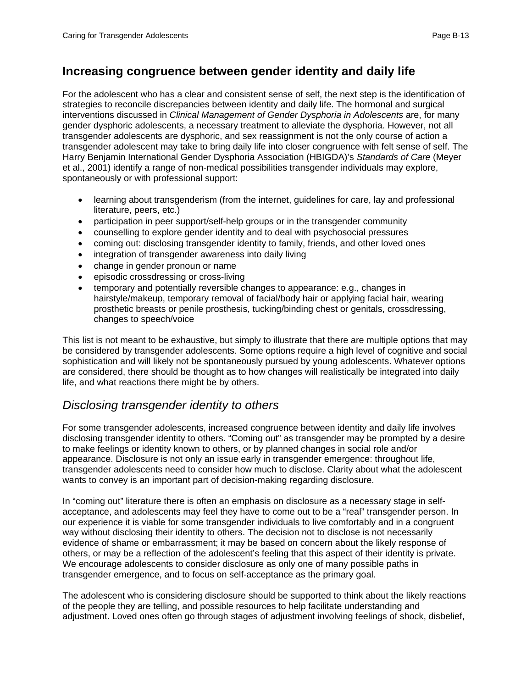## <span id="page-27-0"></span>**Increasing congruence between gender identity and daily life**

For the adolescent who has a clear and consistent sense of self, the next step is the identification of strategies to reconcile discrepancies between identity and daily life. The hormonal and surgical interventions discussed in *Clinical Management of Gender Dysphoria in Adolescents* are, for many gender dysphoric adolescents, a necessary treatment to alleviate the dysphoria. However, not all transgender adolescents are dysphoric, and sex reassignment is not the only course of action a transgender adolescent may take to bring daily life into closer congruence with felt sense of self. The Harry Benjamin International Gender Dysphoria Association (HBIGDA)'s *Standards of Care* (Meyer et al., 2001) identify a range of non-medical possibilities transgender individuals may explore, spontaneously or with professional support:

- learning about transgenderism (from the internet, guidelines for care, lay and professional literature, peers, etc.)
- participation in peer support/self-help groups or in the transgender community
- counselling to explore gender identity and to deal with psychosocial pressures
- coming out: disclosing transgender identity to family, friends, and other loved ones
- integration of transgender awareness into daily living
- change in gender pronoun or name
- episodic crossdressing or cross-living
- temporary and potentially reversible changes to appearance: e.g., changes in hairstyle/makeup, temporary removal of facial/body hair or applying facial hair, wearing prosthetic breasts or penile prosthesis, tucking/binding chest or genitals, crossdressing, changes to speech/voice

This list is not meant to be exhaustive, but simply to illustrate that there are multiple options that may be considered by transgender adolescents. Some options require a high level of cognitive and social sophistication and will likely not be spontaneously pursued by young adolescents. Whatever options are considered, there should be thought as to how changes will realistically be integrated into daily life, and what reactions there might be by others.

## *Disclosing transgender identity to others*

For some transgender adolescents, increased congruence between identity and daily life involves disclosing transgender identity to others. "Coming out" as transgender may be prompted by a desire to make feelings or identity known to others, or by planned changes in social role and/or appearance. Disclosure is not only an issue early in transgender emergence: throughout life, transgender adolescents need to consider how much to disclose. Clarity about what the adolescent wants to convey is an important part of decision-making regarding disclosure.

In "coming out" literature there is often an emphasis on disclosure as a necessary stage in selfacceptance, and adolescents may feel they have to come out to be a "real" transgender person. In our experience it is viable for some transgender individuals to live comfortably and in a congruent way without disclosing their identity to others. The decision not to disclose is not necessarily evidence of shame or embarrassment; it may be based on concern about the likely response of others, or may be a reflection of the adolescent's feeling that this aspect of their identity is private. We encourage adolescents to consider disclosure as only one of many possible paths in transgender emergence, and to focus on self-acceptance as the primary goal.

The adolescent who is considering disclosure should be supported to think about the likely reactions of the people they are telling, and possible resources to help facilitate understanding and adjustment. Loved ones often go through stages of adjustment involving feelings of shock, disbelief,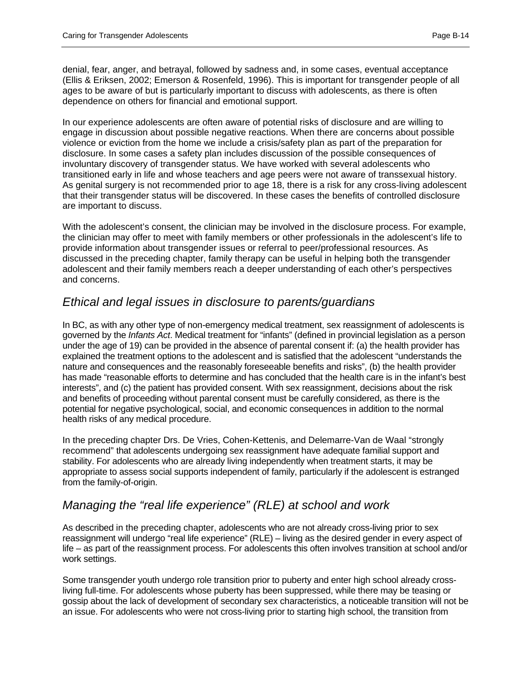<span id="page-28-0"></span>denial, fear, anger, and betrayal, followed by sadness and, in some cases, eventual acceptance (Ellis & Eriksen, 2002; Emerson & Rosenfeld, 1996). This is important for transgender people of all ages to be aware of but is particularly important to discuss with adolescents, as there is often dependence on others for financial and emotional support.

In our experience adolescents are often aware of potential risks of disclosure and are willing to engage in discussion about possible negative reactions. When there are concerns about possible violence or eviction from the home we include a crisis/safety plan as part of the preparation for disclosure. In some cases a safety plan includes discussion of the possible consequences of involuntary discovery of transgender status. We have worked with several adolescents who transitioned early in life and whose teachers and age peers were not aware of transsexual history. As genital surgery is not recommended prior to age 18, there is a risk for any cross-living adolescent that their transgender status will be discovered. In these cases the benefits of controlled disclosure are important to discuss.

With the adolescent's consent, the clinician may be involved in the disclosure process. For example, the clinician may offer to meet with family members or other professionals in the adolescent's life to provide information about transgender issues or referral to peer/professional resources. As discussed in the preceding chapter, family therapy can be useful in helping both the transgender adolescent and their family members reach a deeper understanding of each other's perspectives and concerns.

### *Ethical and legal issues in disclosure to parents/guardians*

In BC, as with any other type of non-emergency medical treatment, sex reassignment of adolescents is governed by the *Infants Act*. Medical treatment for "infants" (defined in provincial legislation as a person under the age of 19) can be provided in the absence of parental consent if: (a) the health provider has explained the treatment options to the adolescent and is satisfied that the adolescent "understands the nature and consequences and the reasonably foreseeable benefits and risks", (b) the health provider has made "reasonable efforts to determine and has concluded that the health care is in the infant's best interests", and (c) the patient has provided consent. With sex reassignment, decisions about the risk and benefits of proceeding without parental consent must be carefully considered, as there is the potential for negative psychological, social, and economic consequences in addition to the normal health risks of any medical procedure.

In the preceding chapter Drs. De Vries, Cohen-Kettenis, and Delemarre-Van de Waal "strongly recommend" that adolescents undergoing sex reassignment have adequate familial support and stability. For adolescents who are already living independently when treatment starts, it may be appropriate to assess social supports independent of family, particularly if the adolescent is estranged from the family-of-origin.

## *Managing the "real life experience" (RLE) at school and work*

As described in the preceding chapter, adolescents who are not already cross-living prior to sex reassignment will undergo "real life experience" (RLE) – living as the desired gender in every aspect of life – as part of the reassignment process. For adolescents this often involves transition at school and/or work settings.

Some transgender youth undergo role transition prior to puberty and enter high school already crossliving full-time. For adolescents whose puberty has been suppressed, while there may be teasing or gossip about the lack of development of secondary sex characteristics, a noticeable transition will not be an issue. For adolescents who were not cross-living prior to starting high school, the transition from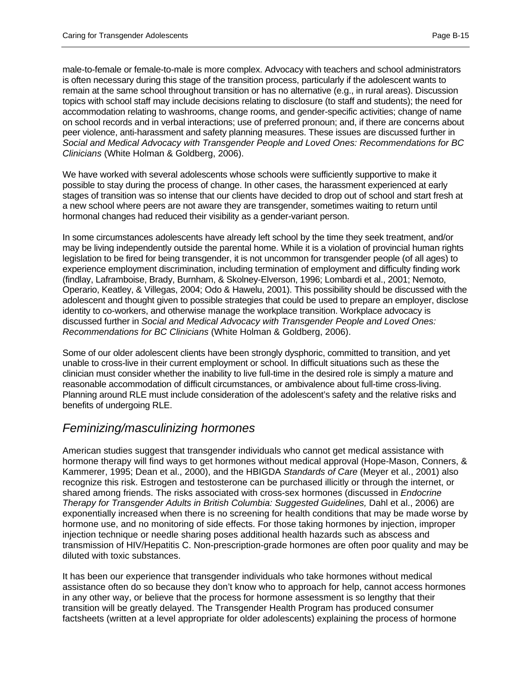<span id="page-29-0"></span>male-to-female or female-to-male is more complex. Advocacy with teachers and school administrators is often necessary during this stage of the transition process, particularly if the adolescent wants to remain at the same school throughout transition or has no alternative (e.g., in rural areas). Discussion topics with school staff may include decisions relating to disclosure (to staff and students); the need for accommodation relating to washrooms, change rooms, and gender-specific activities; change of name on school records and in verbal interactions; use of preferred pronoun; and, if there are concerns about peer violence, anti-harassment and safety planning measures. These issues are discussed further in *Social and Medical Advocacy with Transgender People and Loved Ones: Recommendations for BC Clinicians* (White Holman & Goldberg, 2006).

We have worked with several adolescents whose schools were sufficiently supportive to make it possible to stay during the process of change. In other cases, the harassment experienced at early stages of transition was so intense that our clients have decided to drop out of school and start fresh at a new school where peers are not aware they are transgender, sometimes waiting to return until hormonal changes had reduced their visibility as a gender-variant person.

In some circumstances adolescents have already left school by the time they seek treatment, and/or may be living independently outside the parental home. While it is a violation of provincial human rights legislation to be fired for being transgender, it is not uncommon for transgender people (of all ages) to experience employment discrimination, including termination of employment and difficulty finding work (findlay, Laframboise, Brady, Burnham, & Skolney-Elverson, 1996; Lombardi et al., 2001; Nemoto, Operario, Keatley, & Villegas, 2004; Odo & Hawelu, 2001). This possibility should be discussed with the adolescent and thought given to possible strategies that could be used to prepare an employer, disclose identity to co-workers, and otherwise manage the workplace transition. Workplace advocacy is discussed further in *Social and Medical Advocacy with Transgender People and Loved Ones: Recommendations for BC Clinicians* (White Holman & Goldberg, 2006).

Some of our older adolescent clients have been strongly dysphoric, committed to transition, and yet unable to cross-live in their current employment or school. In difficult situations such as these the clinician must consider whether the inability to live full-time in the desired role is simply a mature and reasonable accommodation of difficult circumstances, or ambivalence about full-time cross-living. Planning around RLE must include consideration of the adolescent's safety and the relative risks and benefits of undergoing RLE.

#### *Feminizing/masculinizing hormones*

American studies suggest that transgender individuals who cannot get medical assistance with hormone therapy will find ways to get hormones without medical approval (Hope-Mason, Conners, & Kammerer, 1995; Dean et al., 2000), and the HBIGDA *Standards of Care* (Meyer et al., 2001) also recognize this risk. Estrogen and testosterone can be purchased illicitly or through the internet, or shared among friends. The risks associated with cross-sex hormones (discussed in *Endocrine Therapy for Transgender Adults in British Columbia: Suggested Guidelines, Dahl et al., 2006) are* exponentially increased when there is no screening for health conditions that may be made worse by hormone use, and no monitoring of side effects. For those taking hormones by injection, improper injection technique or needle sharing poses additional health hazards such as abscess and transmission of HIV/Hepatitis C. Non-prescription-grade hormones are often poor quality and may be diluted with toxic substances.

It has been our experience that transgender individuals who take hormones without medical assistance often do so because they don't know who to approach for help, cannot access hormones in any other way, or believe that the process for hormone assessment is so lengthy that their transition will be greatly delayed. The Transgender Health Program has produced consumer factsheets (written at a level appropriate for older adolescents) explaining the process of hormone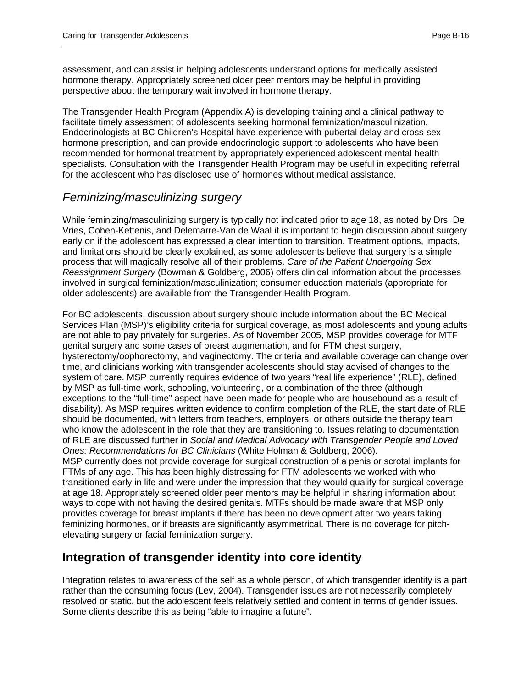<span id="page-30-0"></span>assessment, and can assist in helping adolescents understand options for medically assisted hormone therapy. Appropriately screened older peer mentors may be helpful in providing perspective about the temporary wait involved in hormone therapy.

The Transgender Health Program (Appendix A) is developing training and a clinical pathway to facilitate timely assessment of adolescents seeking hormonal feminization/masculinization. Endocrinologists at BC Children's Hospital have experience with pubertal delay and cross-sex hormone prescription, and can provide endocrinologic support to adolescents who have been recommended for hormonal treatment by appropriately experienced adolescent mental health specialists. Consultation with the Transgender Health Program may be useful in expediting referral for the adolescent who has disclosed use of hormones without medical assistance.

### *Feminizing/masculinizing surgery*

While feminizing/masculinizing surgery is typically not indicated prior to age 18, as noted by Drs. De Vries, Cohen-Kettenis, and Delemarre-Van de Waal it is important to begin discussion about surgery early on if the adolescent has expressed a clear intention to transition. Treatment options, impacts, and limitations should be clearly explained, as some adolescents believe that surgery is a simple process that will magically resolve all of their problems. *Care of the Patient Undergoing Sex Reassignment Surgery* (Bowman & Goldberg, 2006) offers clinical information about the processes involved in surgical feminization/masculinization; consumer education materials (appropriate for older adolescents) are available from the Transgender Health Program.

For BC adolescents, discussion about surgery should include information about the BC Medical Services Plan (MSP)'s eligibility criteria for surgical coverage, as most adolescents and young adults are not able to pay privately for surgeries. As of November 2005, MSP provides coverage for MTF genital surgery and some cases of breast augmentation, and for FTM chest surgery, hysterectomy/oophorectomy, and vaginectomy. The criteria and available coverage can change over time, and clinicians working with transgender adolescents should stay advised of changes to the system of care. MSP currently requires evidence of two years "real life experience" (RLE), defined by MSP as full-time work, schooling, volunteering, or a combination of the three (although exceptions to the "full-time" aspect have been made for people who are housebound as a result of disability). As MSP requires written evidence to confirm completion of the RLE, the start date of RLE should be documented, with letters from teachers, employers, or others outside the therapy team who know the adolescent in the role that they are transitioning to. Issues relating to documentation of RLE are discussed further in *Social and Medical Advocacy with Transgender People and Loved Ones: Recommendations for BC Clinicians* (White Holman & Goldberg, 2006).

MSP currently does not provide coverage for surgical construction of a penis or scrotal implants for FTMs of any age. This has been highly distressing for FTM adolescents we worked with who transitioned early in life and were under the impression that they would qualify for surgical coverage at age 18. Appropriately screened older peer mentors may be helpful in sharing information about ways to cope with not having the desired genitals. MTFs should be made aware that MSP only provides coverage for breast implants if there has been no development after two years taking feminizing hormones, or if breasts are significantly asymmetrical. There is no coverage for pitchelevating surgery or facial feminization surgery.

### **Integration of transgender identity into core identity**

Integration relates to awareness of the self as a whole person, of which transgender identity is a part rather than the consuming focus (Lev, 2004). Transgender issues are not necessarily completely resolved or static, but the adolescent feels relatively settled and content in terms of gender issues. Some clients describe this as being "able to imagine a future".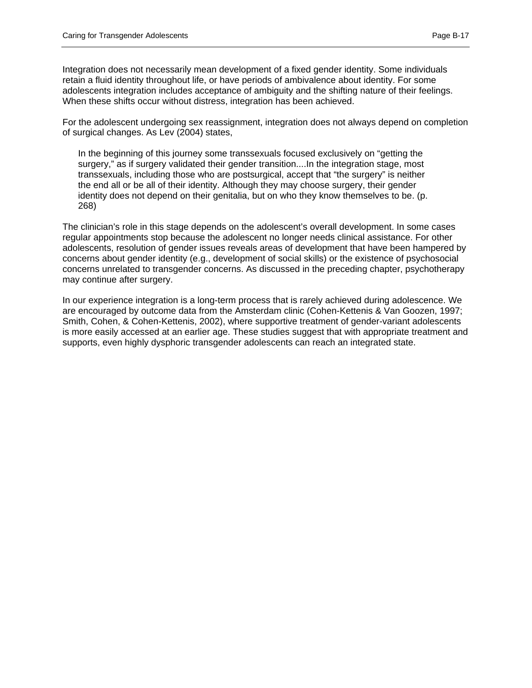Integration does not necessarily mean development of a fixed gender identity. Some individuals retain a fluid identity throughout life, or have periods of ambivalence about identity. For some adolescents integration includes acceptance of ambiguity and the shifting nature of their feelings. When these shifts occur without distress, integration has been achieved.

For the adolescent undergoing sex reassignment, integration does not always depend on completion of surgical changes. As Lev (2004) states,

In the beginning of this journey some transsexuals focused exclusively on "getting the surgery," as if surgery validated their gender transition....In the integration stage, most transsexuals, including those who are postsurgical, accept that "the surgery" is neither the end all or be all of their identity. Although they may choose surgery, their gender identity does not depend on their genitalia, but on who they know themselves to be. (p. 268)

The clinician's role in this stage depends on the adolescent's overall development. In some cases regular appointments stop because the adolescent no longer needs clinical assistance. For other adolescents, resolution of gender issues reveals areas of development that have been hampered by concerns about gender identity (e.g., development of social skills) or the existence of psychosocial concerns unrelated to transgender concerns. As discussed in the preceding chapter, psychotherapy may continue after surgery.

In our experience integration is a long-term process that is rarely achieved during adolescence. We are encouraged by outcome data from the Amsterdam clinic (Cohen-Kettenis & Van Goozen, 1997; Smith, Cohen, & Cohen-Kettenis, 2002), where supportive treatment of gender-variant adolescents is more easily accessed at an earlier age. These studies suggest that with appropriate treatment and supports, even highly dysphoric transgender adolescents can reach an integrated state.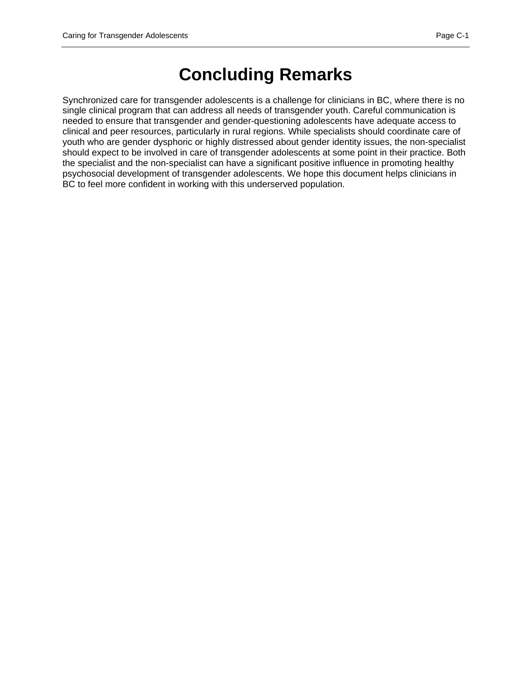# **Concluding Remarks**

<span id="page-32-0"></span>Synchronized care for transgender adolescents is a challenge for clinicians in BC, where there is no single clinical program that can address all needs of transgender youth. Careful communication is needed to ensure that transgender and gender-questioning adolescents have adequate access to clinical and peer resources, particularly in rural regions. While specialists should coordinate care of youth who are gender dysphoric or highly distressed about gender identity issues, the non-specialist should expect to be involved in care of transgender adolescents at some point in their practice. Both the specialist and the non-specialist can have a significant positive influence in promoting healthy psychosocial development of transgender adolescents. We hope this document helps clinicians in BC to feel more confident in working with this underserved population.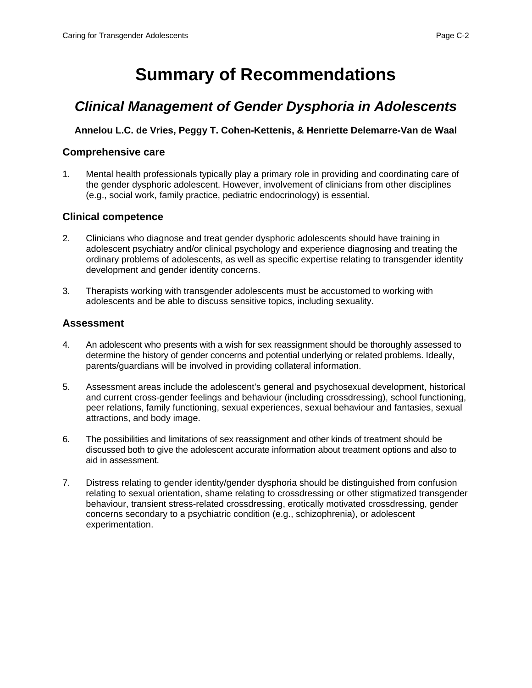# **Summary of Recommendations**

# <span id="page-33-0"></span>*Clinical Management of Gender Dysphoria in Adolescents*

#### **Annelou L.C. de Vries, Peggy T. Cohen-Kettenis, & Henriette Delemarre-Van de Waal**

#### **Comprehensive care**

1. Mental health professionals typically play a primary role in providing and coordinating care of the gender dysphoric adolescent. However, involvement of clinicians from other disciplines (e.g., social work, family practice, pediatric endocrinology) is essential.

#### **Clinical competence**

- 2. Clinicians who diagnose and treat gender dysphoric adolescents should have training in adolescent psychiatry and/or clinical psychology and experience diagnosing and treating the ordinary problems of adolescents, as well as specific expertise relating to transgender identity development and gender identity concerns.
- 3. Therapists working with transgender adolescents must be accustomed to working with adolescents and be able to discuss sensitive topics, including sexuality.

#### **Assessment**

- 4. An adolescent who presents with a wish for sex reassignment should be thoroughly assessed to determine the history of gender concerns and potential underlying or related problems. Ideally, parents/guardians will be involved in providing collateral information.
- 5. Assessment areas include the adolescent's general and psychosexual development, historical and current cross-gender feelings and behaviour (including crossdressing), school functioning, peer relations, family functioning, sexual experiences, sexual behaviour and fantasies, sexual attractions, and body image.
- 6. The possibilities and limitations of sex reassignment and other kinds of treatment should be discussed both to give the adolescent accurate information about treatment options and also to aid in assessment.
- 7. Distress relating to gender identity/gender dysphoria should be distinguished from confusion relating to sexual orientation, shame relating to crossdressing or other stigmatized transgender behaviour, transient stress-related crossdressing, erotically motivated crossdressing, gender concerns secondary to a psychiatric condition (e.g., schizophrenia), or adolescent experimentation.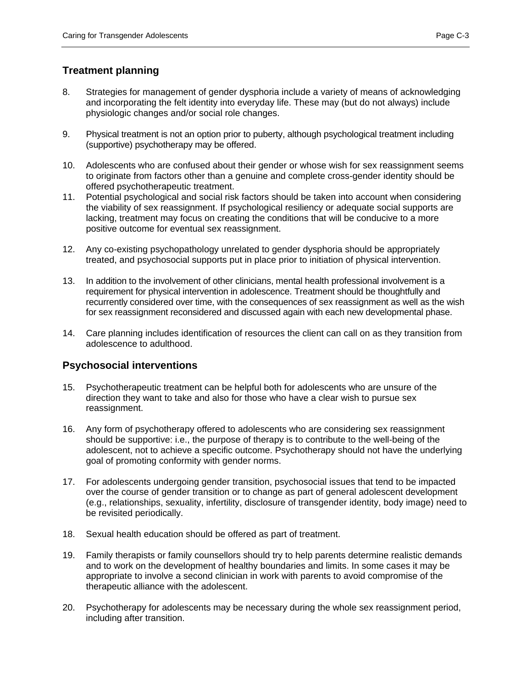#### **Treatment planning**

- 8. Strategies for management of gender dysphoria include a variety of means of acknowledging and incorporating the felt identity into everyday life. These may (but do not always) include physiologic changes and/or social role changes.
- 9. Physical treatment is not an option prior to puberty, although psychological treatment including (supportive) psychotherapy may be offered.
- 10. Adolescents who are confused about their gender or whose wish for sex reassignment seems to originate from factors other than a genuine and complete cross-gender identity should be offered psychotherapeutic treatment.
- 11. Potential psychological and social risk factors should be taken into account when considering the viability of sex reassignment. If psychological resiliency or adequate social supports are lacking, treatment may focus on creating the conditions that will be conducive to a more positive outcome for eventual sex reassignment.
- 12. Any co-existing psychopathology unrelated to gender dysphoria should be appropriately treated, and psychosocial supports put in place prior to initiation of physical intervention.
- 13. In addition to the involvement of other clinicians, mental health professional involvement is a requirement for physical intervention in adolescence. Treatment should be thoughtfully and recurrently considered over time, with the consequences of sex reassignment as well as the wish for sex reassignment reconsidered and discussed again with each new developmental phase.
- 14. Care planning includes identification of resources the client can call on as they transition from adolescence to adulthood.

#### **Psychosocial interventions**

- 15. Psychotherapeutic treatment can be helpful both for adolescents who are unsure of the direction they want to take and also for those who have a clear wish to pursue sex reassignment.
- 16. Any form of psychotherapy offered to adolescents who are considering sex reassignment should be supportive: i.e., the purpose of therapy is to contribute to the well-being of the adolescent, not to achieve a specific outcome. Psychotherapy should not have the underlying goal of promoting conformity with gender norms.
- 17. For adolescents undergoing gender transition, psychosocial issues that tend to be impacted over the course of gender transition or to change as part of general adolescent development (e.g., relationships, sexuality, infertility, disclosure of transgender identity, body image) need to be revisited periodically.
- 18. Sexual health education should be offered as part of treatment.
- 19. Family therapists or family counsellors should try to help parents determine realistic demands and to work on the development of healthy boundaries and limits. In some cases it may be appropriate to involve a second clinician in work with parents to avoid compromise of the therapeutic alliance with the adolescent.
- 20. Psychotherapy for adolescents may be necessary during the whole sex reassignment period, including after transition.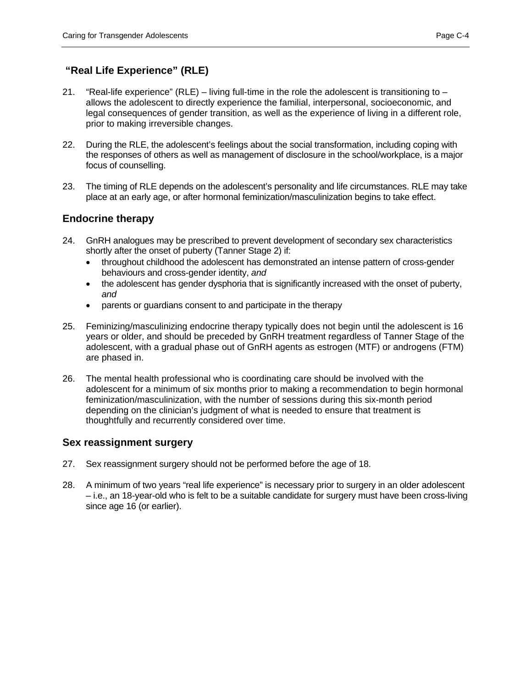#### **"Real Life Experience" (RLE)**

- 21. "Real-life experience" (RLE) living full-time in the role the adolescent is transitioning to allows the adolescent to directly experience the familial, interpersonal, socioeconomic, and legal consequences of gender transition, as well as the experience of living in a different role, prior to making irreversible changes.
- 22. During the RLE, the adolescent's feelings about the social transformation, including coping with the responses of others as well as management of disclosure in the school/workplace, is a major focus of counselling.
- 23. The timing of RLE depends on the adolescent's personality and life circumstances. RLE may take place at an early age, or after hormonal feminization/masculinization begins to take effect.

#### **Endocrine therapy**

- 24. GnRH analogues may be prescribed to prevent development of secondary sex characteristics shortly after the onset of puberty (Tanner Stage 2) if:
	- throughout childhood the adolescent has demonstrated an intense pattern of cross-gender behaviours and cross-gender identity, *and*
	- the adolescent has gender dysphoria that is significantly increased with the onset of puberty, *and*
	- parents or guardians consent to and participate in the therapy
- 25. Feminizing/masculinizing endocrine therapy typically does not begin until the adolescent is 16 years or older, and should be preceded by GnRH treatment regardless of Tanner Stage of the adolescent, with a gradual phase out of GnRH agents as estrogen (MTF) or androgens (FTM) are phased in.
- 26. The mental health professional who is coordinating care should be involved with the adolescent for a minimum of six months prior to making a recommendation to begin hormonal feminization/masculinization, with the number of sessions during this six-month period depending on the clinician's judgment of what is needed to ensure that treatment is thoughtfully and recurrently considered over time.

#### **Sex reassignment surgery**

- 27. Sex reassignment surgery should not be performed before the age of 18.
- 28. A minimum of two years "real life experience" is necessary prior to surgery in an older adolescent – i.e., an 18-year-old who is felt to be a suitable candidate for surgery must have been cross-living since age 16 (or earlier).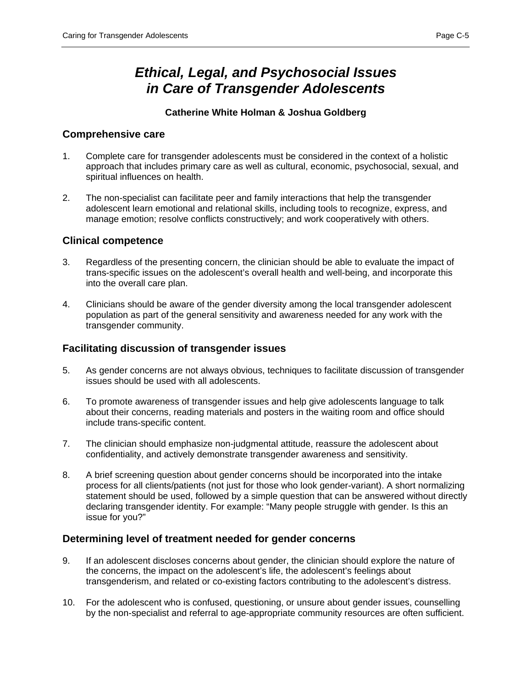# *Ethical, Legal, and Psychosocial Issues in Care of Transgender Adolescents*

#### **Catherine White Holman & Joshua Goldberg**

#### **Comprehensive care**

- 1. Complete care for transgender adolescents must be considered in the context of a holistic approach that includes primary care as well as cultural, economic, psychosocial, sexual, and spiritual influences on health.
- 2. The non-specialist can facilitate peer and family interactions that help the transgender adolescent learn emotional and relational skills, including tools to recognize, express, and manage emotion; resolve conflicts constructively; and work cooperatively with others.

#### **Clinical competence**

- 3. Regardless of the presenting concern, the clinician should be able to evaluate the impact of trans-specific issues on the adolescent's overall health and well-being, and incorporate this into the overall care plan.
- 4. Clinicians should be aware of the gender diversity among the local transgender adolescent population as part of the general sensitivity and awareness needed for any work with the transgender community.

#### **Facilitating discussion of transgender issues**

- 5. As gender concerns are not always obvious, techniques to facilitate discussion of transgender issues should be used with all adolescents.
- 6. To promote awareness of transgender issues and help give adolescents language to talk about their concerns, reading materials and posters in the waiting room and office should include trans-specific content.
- 7. The clinician should emphasize non-judgmental attitude, reassure the adolescent about confidentiality, and actively demonstrate transgender awareness and sensitivity.
- 8. A brief screening question about gender concerns should be incorporated into the intake process for all clients/patients (not just for those who look gender-variant). A short normalizing statement should be used, followed by a simple question that can be answered without directly declaring transgender identity. For example: "Many people struggle with gender. Is this an issue for you?"

#### **Determining level of treatment needed for gender concerns**

- 9. If an adolescent discloses concerns about gender, the clinician should explore the nature of the concerns, the impact on the adolescent's life, the adolescent's feelings about transgenderism, and related or co-existing factors contributing to the adolescent's distress.
- 10. For the adolescent who is confused, questioning, or unsure about gender issues, counselling by the non-specialist and referral to age-appropriate community resources are often sufficient.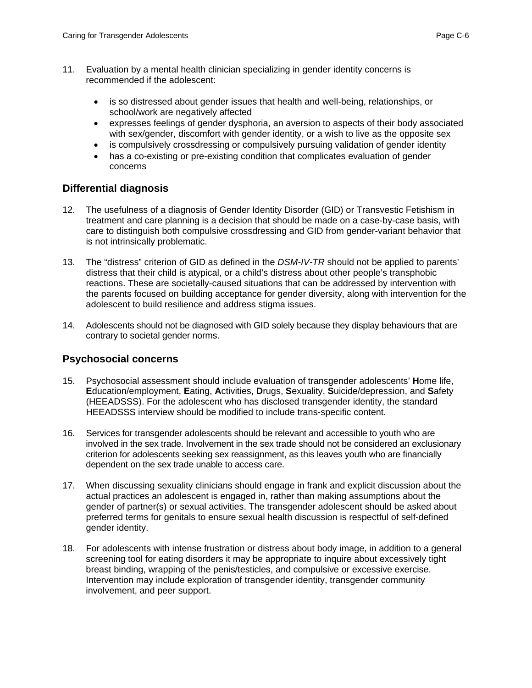- 11. Evaluation by a mental health clinician specializing in gender identity concerns is recommended if the adolescent:
	- is so distressed about gender issues that health and well-being, relationships, or school/work are negatively affected
	- expresses feelings of gender dysphoria, an aversion to aspects of their body associated with sex/gender, discomfort with gender identity, or a wish to live as the opposite sex
	- is compulsively crossdressing or compulsively pursuing validation of gender identity
	- has a co-existing or pre-existing condition that complicates evaluation of gender concerns

#### **Differential diagnosis**

- 12. The usefulness of a diagnosis of Gender Identity Disorder (GID) or Transvestic Fetishism in treatment and care planning is a decision that should be made on a case-by-case basis, with care to distinguish both compulsive crossdressing and GID from gender-variant behavior that is not intrinsically problematic.
- 13. The "distress" criterion of GID as defined in the *DSM-IV-TR* should not be applied to parents' distress that their child is atypical, or a child's distress about other people's transphobic reactions. These are societally-caused situations that can be addressed by intervention with the parents focused on building acceptance for gender diversity, along with intervention for the adolescent to build resilience and address stigma issues.
- 14. Adolescents should not be diagnosed with GID solely because they display behaviours that are contrary to societal gender norms.

#### **Psychosocial concerns**

- 15. Psychosocial assessment should include evaluation of transgender adolescents' **H**ome life, **E**ducation/employment, **E**ating, **A**ctivities, **D**rugs, **S**exuality, **S**uicide/depression, and **S**afety (HEEADSSS). For the adolescent who has disclosed transgender identity, the standard HEEADSSS interview should be modified to include trans-specific content.
- 16. Services for transgender adolescents should be relevant and accessible to youth who are involved in the sex trade. Involvement in the sex trade should not be considered an exclusionary criterion for adolescents seeking sex reassignment, as this leaves youth who are financially dependent on the sex trade unable to access care.
- 17. When discussing sexuality clinicians should engage in frank and explicit discussion about the actual practices an adolescent is engaged in, rather than making assumptions about the gender of partner(s) or sexual activities. The transgender adolescent should be asked about preferred terms for genitals to ensure sexual health discussion is respectful of self-defined gender identity.
- 18. For adolescents with intense frustration or distress about body image, in addition to a general screening tool for eating disorders it may be appropriate to inquire about excessively tight breast binding, wrapping of the penis/testicles, and compulsive or excessive exercise. Intervention may include exploration of transgender identity, transgender community involvement, and peer support.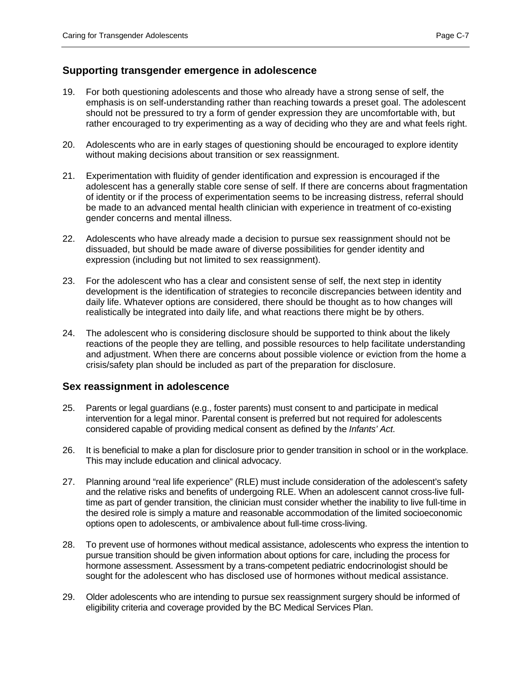#### **Supporting transgender emergence in adolescence**

- 19. For both questioning adolescents and those who already have a strong sense of self, the emphasis is on self-understanding rather than reaching towards a preset goal. The adolescent should not be pressured to try a form of gender expression they are uncomfortable with, but rather encouraged to try experimenting as a way of deciding who they are and what feels right.
- 20. Adolescents who are in early stages of questioning should be encouraged to explore identity without making decisions about transition or sex reassignment.
- 21. Experimentation with fluidity of gender identification and expression is encouraged if the adolescent has a generally stable core sense of self. If there are concerns about fragmentation of identity or if the process of experimentation seems to be increasing distress, referral should be made to an advanced mental health clinician with experience in treatment of co-existing gender concerns and mental illness.
- 22. Adolescents who have already made a decision to pursue sex reassignment should not be dissuaded, but should be made aware of diverse possibilities for gender identity and expression (including but not limited to sex reassignment).
- 23. For the adolescent who has a clear and consistent sense of self, the next step in identity development is the identification of strategies to reconcile discrepancies between identity and daily life. Whatever options are considered, there should be thought as to how changes will realistically be integrated into daily life, and what reactions there might be by others.
- 24. The adolescent who is considering disclosure should be supported to think about the likely reactions of the people they are telling, and possible resources to help facilitate understanding and adjustment. When there are concerns about possible violence or eviction from the home a crisis/safety plan should be included as part of the preparation for disclosure.

#### **Sex reassignment in adolescence**

- 25. Parents or legal guardians (e.g., foster parents) must consent to and participate in medical intervention for a legal minor. Parental consent is preferred but not required for adolescents considered capable of providing medical consent as defined by the *Infants' Act*.
- 26. It is beneficial to make a plan for disclosure prior to gender transition in school or in the workplace. This may include education and clinical advocacy.
- 27. Planning around "real life experience" (RLE) must include consideration of the adolescent's safety and the relative risks and benefits of undergoing RLE. When an adolescent cannot cross-live fulltime as part of gender transition, the clinician must consider whether the inability to live full-time in the desired role is simply a mature and reasonable accommodation of the limited socioeconomic options open to adolescents, or ambivalence about full-time cross-living.
- 28. To prevent use of hormones without medical assistance, adolescents who express the intention to pursue transition should be given information about options for care, including the process for hormone assessment. Assessment by a trans-competent pediatric endocrinologist should be sought for the adolescent who has disclosed use of hormones without medical assistance.
- 29. Older adolescents who are intending to pursue sex reassignment surgery should be informed of eligibility criteria and coverage provided by the BC Medical Services Plan.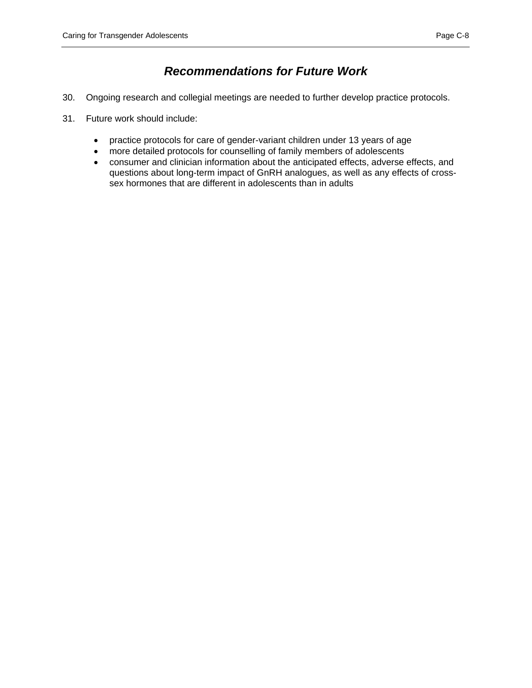# *Recommendations for Future Work*

- 30. Ongoing research and collegial meetings are needed to further develop practice protocols.
- 31. Future work should include:
	- practice protocols for care of gender-variant children under 13 years of age
	- more detailed protocols for counselling of family members of adolescents
	- consumer and clinician information about the anticipated effects, adverse effects, and questions about long-term impact of GnRH analogues, as well as any effects of crosssex hormones that are different in adolescents than in adults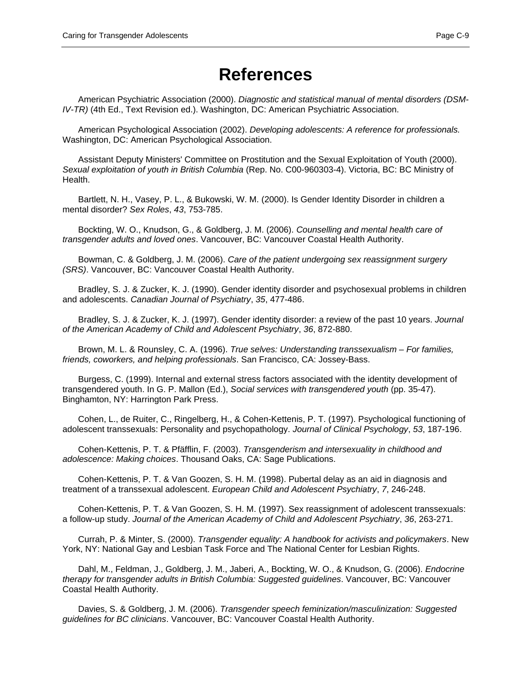# **References**

<span id="page-40-0"></span>American Psychiatric Association (2000). *Diagnostic and statistical manual of mental disorders (DSM-IV-TR)* (4th Ed., Text Revision ed.). Washington, DC: American Psychiatric Association.

American Psychological Association (2002). *Developing adolescents: A reference for professionals.* Washington, DC: American Psychological Association.

Assistant Deputy Ministers' Committee on Prostitution and the Sexual Exploitation of Youth (2000). *Sexual exploitation of youth in British Columbia* (Rep. No. C00-960303-4). Victoria, BC: BC Ministry of Health.

Bartlett, N. H., Vasey, P. L., & Bukowski, W. M. (2000). Is Gender Identity Disorder in children a mental disorder? *Sex Roles*, *43*, 753-785.

Bockting, W. O., Knudson, G., & Goldberg, J. M. (2006). *Counselling and mental health care of transgender adults and loved ones*. Vancouver, BC: Vancouver Coastal Health Authority.

Bowman, C. & Goldberg, J. M. (2006). *Care of the patient undergoing sex reassignment surgery (SRS)*. Vancouver, BC: Vancouver Coastal Health Authority.

Bradley, S. J. & Zucker, K. J. (1990). Gender identity disorder and psychosexual problems in children and adolescents. *Canadian Journal of Psychiatry*, *35*, 477-486.

Bradley, S. J. & Zucker, K. J. (1997). Gender identity disorder: a review of the past 10 years. *Journal of the American Academy of Child and Adolescent Psychiatry*, *36*, 872-880.

Brown, M. L. & Rounsley, C. A. (1996). *True selves: Understanding transsexualism – For families, friends, coworkers, and helping professionals*. San Francisco, CA: Jossey-Bass.

Burgess, C. (1999). Internal and external stress factors associated with the identity development of transgendered youth. In G. P. Mallon (Ed.), *Social services with transgendered youth* (pp. 35-47). Binghamton, NY: Harrington Park Press.

Cohen, L., de Ruiter, C., Ringelberg, H., & Cohen-Kettenis, P. T. (1997). Psychological functioning of adolescent transsexuals: Personality and psychopathology. *Journal of Clinical Psychology*, *53*, 187-196.

Cohen-Kettenis, P. T. & Pfäfflin, F. (2003). *Transgenderism and intersexuality in childhood and adolescence: Making choices*. Thousand Oaks, CA: Sage Publications.

Cohen-Kettenis, P. T. & Van Goozen, S. H. M. (1998). Pubertal delay as an aid in diagnosis and treatment of a transsexual adolescent. *European Child and Adolescent Psychiatry*, *7*, 246-248.

Cohen-Kettenis, P. T. & Van Goozen, S. H. M. (1997). Sex reassignment of adolescent transsexuals: a follow-up study. *Journal of the American Academy of Child and Adolescent Psychiatry*, *36*, 263-271.

Currah, P. & Minter, S. (2000). *Transgender equality: A handbook for activists and policymakers*. New York, NY: National Gay and Lesbian Task Force and The National Center for Lesbian Rights.

Dahl, M., Feldman, J., Goldberg, J. M., Jaberi, A., Bockting, W. O., & Knudson, G. (2006). *Endocrine therapy for transgender adults in British Columbia: Suggested guidelines*. Vancouver, BC: Vancouver Coastal Health Authority.

Davies, S. & Goldberg, J. M. (2006). *Transgender speech feminization/masculinization: Suggested guidelines for BC clinicians*. Vancouver, BC: Vancouver Coastal Health Authority.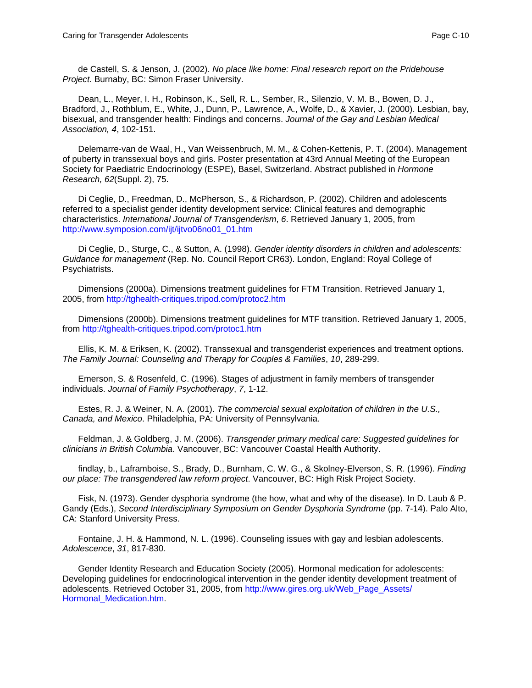de Castell, S. & Jenson, J. (2002). *No place like home: Final research report on the Pridehouse Project*. Burnaby, BC: Simon Fraser University.

Dean, L., Meyer, I. H., Robinson, K., Sell, R. L., Sember, R., Silenzio, V. M. B., Bowen, D. J., Bradford, J., Rothblum, E., White, J., Dunn, P., Lawrence, A., Wolfe, D., & Xavier, J. (2000). Lesbian, bay, bisexual, and transgender health: Findings and concerns. *Journal of the Gay and Lesbian Medical Association, 4*, 102-151.

Delemarre-van de Waal, H., Van Weissenbruch, M. M., & Cohen-Kettenis, P. T. (2004). Management of puberty in transsexual boys and girls. Poster presentation at 43rd Annual Meeting of the European Society for Paediatric Endocrinology (ESPE), Basel, Switzerland. Abstract published in *Hormone Research, 62*(Suppl. 2), 75.

Di Ceglie, D., Freedman, D., McPherson, S., & Richardson, P. (2002). Children and adolescents referred to a specialist gender identity development service: Clinical features and demographic characteristics. *International Journal of Transgenderism*, *6*. Retrieved January 1, 2005, from [http://www.symposion.com/ijt/ijtvo06no01\\_01.htm](http://www.symposion.com/ijt/ijtvo06no01_01.htm)

Di Ceglie, D., Sturge, C., & Sutton, A. (1998). *Gender identity disorders in children and adolescents: Guidance for management* (Rep. No. Council Report CR63). London, England: Royal College of Psychiatrists.

Dimensions (2000a). Dimensions treatment guidelines for FTM Transition. Retrieved January 1, 2005, from <http://tghealth-critiques.tripod.com/protoc2.htm>

Dimensions (2000b). Dimensions treatment guidelines for MTF transition. Retrieved January 1, 2005, from <http://tghealth-critiques.tripod.com/protoc1.htm>

Ellis, K. M. & Eriksen, K. (2002). Transsexual and transgenderist experiences and treatment options. *The Family Journal: Counseling and Therapy for Couples & Families*, *10*, 289-299.

Emerson, S. & Rosenfeld, C. (1996). Stages of adjustment in family members of transgender individuals. *Journal of Family Psychotherapy*, *7*, 1-12.

Estes, R. J. & Weiner, N. A. (2001). *The commercial sexual exploitation of children in the U.S., Canada, and Mexico*. Philadelphia, PA: University of Pennsylvania.

Feldman, J. & Goldberg, J. M. (2006). *Transgender primary medical care: Suggested guidelines for clinicians in British Columbia*. Vancouver, BC: Vancouver Coastal Health Authority.

findlay, b., Laframboise, S., Brady, D., Burnham, C. W. G., & Skolney-Elverson, S. R. (1996). *Finding our place: The transgendered law reform project*. Vancouver, BC: High Risk Project Society.

Fisk, N. (1973). Gender dysphoria syndrome (the how, what and why of the disease). In D. Laub & P. Gandy (Eds.), *Second Interdisciplinary Symposium on Gender Dysphoria Syndrome* (pp. 7-14). Palo Alto, CA: Stanford University Press.

Fontaine, J. H. & Hammond, N. L. (1996). Counseling issues with gay and lesbian adolescents. *Adolescence*, *31*, 817-830.

Gender Identity Research and Education Society (2005). Hormonal medication for adolescents: Developing guidelines for endocrinological intervention in the gender identity development treatment of adolescents. Retrieved October 31, 2005, from [http://www.gires.org.uk/Web\\_](http://www.gires.org.uk/Web_Page_Assets/%20Hormonal_Medication.htm)Page\_Assets/ [Hormonal\\_Medication.htm](http://www.gires.org.uk/Web_Page_Assets/%20Hormonal_Medication.htm) .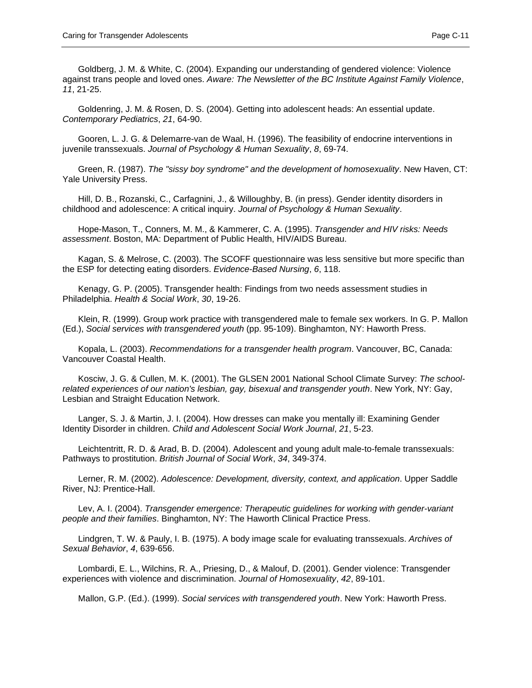Goldberg, J. M. & White, C. (2004). Expanding our understanding of gendered violence: Violence against trans people and loved ones. *Aware: The Newsletter of the BC Institute Against Family Violence*, *11*, 21-25.

Goldenring, J. M. & Rosen, D. S. (2004). Getting into adolescent heads: An essential update. *Contemporary Pediatrics*, *21*, 64-90.

Gooren, L. J. G. & Delemarre-van de Waal, H. (1996). The feasibility of endocrine interventions in juvenile transsexuals. *Journal of Psychology & Human Sexuality*, *8*, 69-74.

Green, R. (1987). *The "sissy boy syndrome" and the development of homosexuality*. New Haven, CT: Yale University Press.

Hill, D. B., Rozanski, C., Carfagnini, J., & Willoughby, B. (in press). Gender identity disorders in childhood and adolescence: A critical inquiry. *Journal of Psychology & Human Sexuality*.

Hope-Mason, T., Conners, M. M., & Kammerer, C. A. (1995). *Transgender and HIV risks: Needs assessment*. Boston, MA: Department of Public Health, HIV/AIDS Bureau.

Kagan, S. & Melrose, C. (2003). The SCOFF questionnaire was less sensitive but more specific than the ESP for detecting eating disorders. *Evidence-Based Nursing*, *6*, 118.

Kenagy, G. P. (2005). Transgender health: Findings from two needs assessment studies in Philadelphia. *Health & Social Work*, *30*, 19-26.

Klein, R. (1999). Group work practice with transgendered male to female sex workers. In G. P. Mallon (Ed.), *Social services with transgendered youth* (pp. 95-109). Binghamton, NY: Haworth Press.

Kopala, L. (2003). *Recommendations for a transgender health program*. Vancouver, BC, Canada: Vancouver Coastal Health.

Kosciw, J. G. & Cullen, M. K. (2001). The GLSEN 2001 National School Climate Survey: *The schoolrelated experiences of our nation's lesbian, gay, bisexual and transgender youth*. New York, NY: Gay, Lesbian and Straight Education Network.

Langer, S. J. & Martin, J. I. (2004). How dresses can make you mentally ill: Examining Gender Identity Disorder in children. *Child and Adolescent Social Work Journal*, *21*, 5-23.

Leichtentritt, R. D. & Arad, B. D. (2004). Adolescent and young adult male-to-female transsexuals: Pathways to prostitution. *British Journal of Social Work*, *34*, 349-374.

Lerner, R. M. (2002). *Adolescence: Development, diversity, context, and application*. Upper Saddle River, NJ: Prentice-Hall.

Lev, A. I. (2004). *Transgender emergence: Therapeutic guidelines for working with gender-variant people and their families*. Binghamton, NY: The Haworth Clinical Practice Press.

Lindgren, T. W. & Pauly, I. B. (1975). A body image scale for evaluating transsexuals. *Archives of Sexual Behavior*, *4*, 639-656.

Lombardi, E. L., Wilchins, R. A., Priesing, D., & Malouf, D. (2001). Gender violence: Transgender experiences with violence and discrimination. *Journal of Homosexuality*, *42*, 89-101.

Mallon, G.P. (Ed.). (1999). *Social services with transgendered youth*. New York: Haworth Press.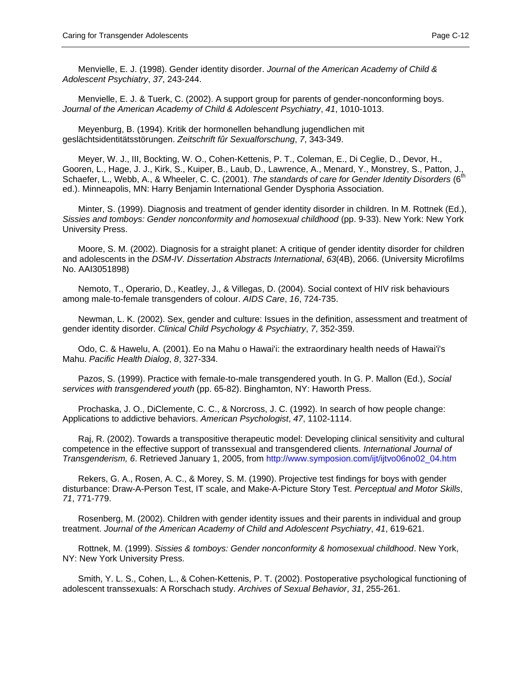Menvielle, E. J. (1998). Gender identity disorder. *Journal of the American Academy of Child & Adolescent Psychiatry*, *37*, 243-244.

Menvielle, E. J. & Tuerk, C. (2002). A support group for parents of gender-nonconforming boys. *Journal of the American Academy of Child & Adolescent Psychiatry*, *41*, 1010-1013.

Meyenburg, B. (1994). Kritik der hormonellen behandlung jugendlichen mit geslächtsidentitätsstörungen. *Zeitschrift fûr Sexualforschung*, *7*, 343-349.

Meyer, W. J., III, Bockting, W. O., Cohen-Kettenis, P. T., Coleman, E., Di Ceglie, D., Devor, H., Gooren, L., Hage, J. J., Kirk, S., Kuiper, B., Laub, D., Lawrence, A., Menard, Y., Monstrey, S., Patton, J., Schaefer, L., Webb, A., & Wheeler, C. C. (2001). *The standards of care for Gender Identity Disorders* (6<sup>th</sup> ed.). Minneapolis, MN: Harry Benjamin International Gender Dysphoria Association.

Minter, S. (1999). Diagnosis and treatment of gender identity disorder in children. In M. Rottnek (Ed.), *Sissies and tomboys: Gender nonconformity and homosexual childhood* (pp. 9-33). New York: New York University Press.

Moore, S. M. (2002). Diagnosis for a straight planet: A critique of gender identity disorder for children and adolescents in the *DSM-IV*. *Dissertation Abstracts International*, *63*(4B), 2066. (University Microfilms No. AAI3051898)

Nemoto, T., Operario, D., Keatley, J., & Villegas, D. (2004). Social context of HIV risk behaviours among male-to-female transgenders of colour. *AIDS Care*, *16*, 724-735.

Newman, L. K. (2002). Sex, gender and culture: Issues in the definition, assessment and treatment of gender identity disorder. *Clinical Child Psychology & Psychiatry*, *7*, 352-359.

Odo, C. & Hawelu, A. (2001). Eo na Mahu o Hawai'i: the extraordinary health needs of Hawai'i's Mahu. *Pacific Health Dialog*, *8*, 327-334.

Pazos, S. (1999). Practice with female-to-male transgendered youth. In G. P. Mallon (Ed.), *Social services with transgendered youth* (pp. 65-82). Binghamton, NY: Haworth Press.

Prochaska, J. O., DiClemente, C. C., & Norcross, J. C. (1992). In search of how people change: Applications to addictive behaviors. *American Psychologist*, *47*, 1102-1114.

Raj, R. (2002). Towards a transpositive therapeutic model: Developing clinical sensitivity and cultural competence in the effective support of transsexual and transgendered clients. *International Journal of Transgenderism, 6*. Retrieved January 1, 2005, from [http://www.symposion.com/ijt/ijtvo06no02\\_04.htm](http://www.symposion.com/ijt/ijtvo06no02_04.htm) 

Rekers, G. A., Rosen, A. C., & Morey, S. M. (1990). Projective test findings for boys with gender disturbance: Draw-A-Person Test, IT scale, and Make-A-Picture Story Test. *Perceptual and Motor Skills*, *71*, 771-779.

Rosenberg, M. (2002). Children with gender identity issues and their parents in individual and group treatment. *Journal of the American Academy of Child and Adolescent Psychiatry*, *41*, 619-621.

Rottnek, M. (1999). *Sissies & tomboys: Gender nonconformity & homosexual childhood*. New York, NY: New York University Press.

Smith, Y. L. S., Cohen, L., & Cohen-Kettenis, P. T. (2002). Postoperative psychological functioning of adolescent transsexuals: A Rorschach study. *Archives of Sexual Behavior*, *31*, 255-261.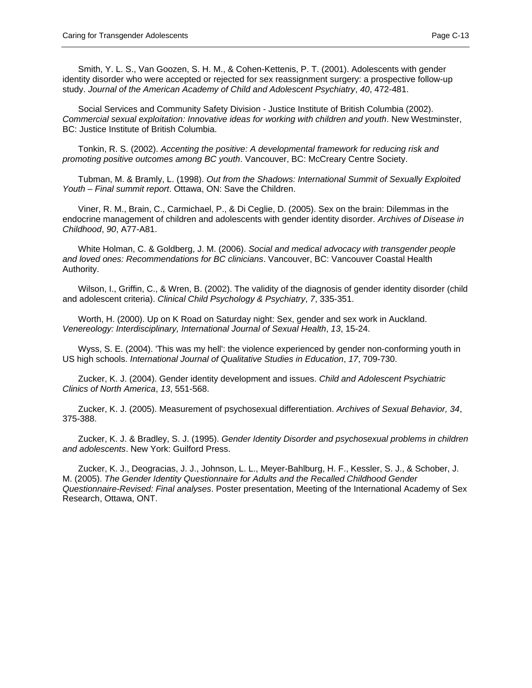Smith, Y. L. S., Van Goozen, S. H. M., & Cohen-Kettenis, P. T. (2001). Adolescents with gender identity disorder who were accepted or rejected for sex reassignment surgery: a prospective follow-up study. *Journal of the American Academy of Child and Adolescent Psychiatry*, *40*, 472-481.

Social Services and Community Safety Division - Justice Institute of British Columbia (2002). *Commercial sexual exploitation: Innovative ideas for working with children and youth*. New Westminster, BC: Justice Institute of British Columbia.

Tonkin, R. S. (2002). *Accenting the positive: A developmental framework for reducing risk and promoting positive outcomes among BC youth*. Vancouver, BC: McCreary Centre Society.

Tubman, M. & Bramly, L. (1998). *Out from the Shadows: International Summit of Sexually Exploited Youth – Final summit report*. Ottawa, ON: Save the Children.

Viner, R. M., Brain, C., Carmichael, P., & Di Ceglie, D. (2005). Sex on the brain: Dilemmas in the endocrine management of children and adolescents with gender identity disorder. *Archives of Disease in Childhood*, *90*, A77-A81.

White Holman, C. & Goldberg, J. M. (2006). *Social and medical advocacy with transgender people and loved ones: Recommendations for BC clinicians*. Vancouver, BC: Vancouver Coastal Health Authority.

Wilson, I., Griffin, C., & Wren, B. (2002). The validity of the diagnosis of gender identity disorder (child and adolescent criteria). *Clinical Child Psychology & Psychiatry*, *7*, 335-351.

Worth, H. (2000). Up on K Road on Saturday night: Sex, gender and sex work in Auckland. *Venereology: Interdisciplinary, International Journal of Sexual Health*, *13*, 15-24.

Wyss, S. E. (2004). 'This was my hell': the violence experienced by gender non-conforming youth in US high schools. *International Journal of Qualitative Studies in Education*, *17*, 709-730.

Zucker, K. J. (2004). Gender identity development and issues. *Child and Adolescent Psychiatric Clinics of North America*, *13*, 551-568.

Zucker, K. J. (2005). Measurement of psychosexual differentiation. *Archives of Sexual Behavior, 34*, 375-388.

Zucker, K. J. & Bradley, S. J. (1995). *Gender Identity Disorder and psychosexual problems in children and adolescents*. New York: Guilford Press.

Zucker, K. J., Deogracias, J. J., Johnson, L. L., Meyer-Bahlburg, H. F., Kessler, S. J., & Schober, J. M. (2005). *The Gender Identity Questionnaire for Adults and the Recalled Childhood Gender Questionnaire-Revised: Final analyses*. Poster presentation, Meeting of the International Academy of Sex Research, Ottawa, ONT.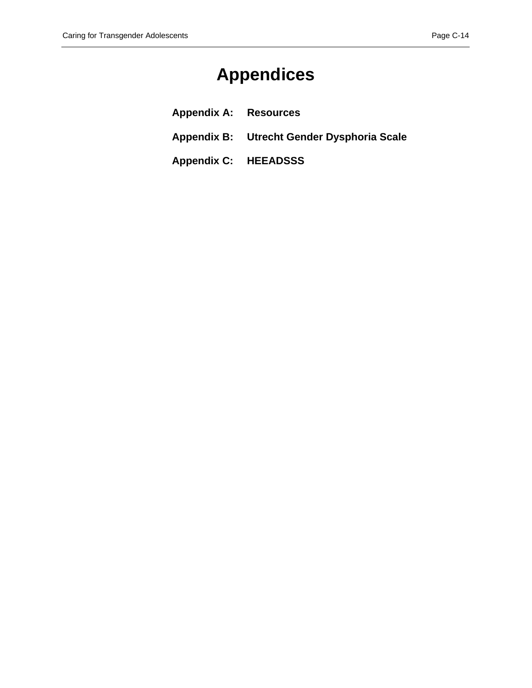# **Appendices**

- <span id="page-45-0"></span>**Appendix A: Resources**
- **Appendix B: Utrecht Gender Dysphoria Scale**
- **Appendix C: HEEADSSS**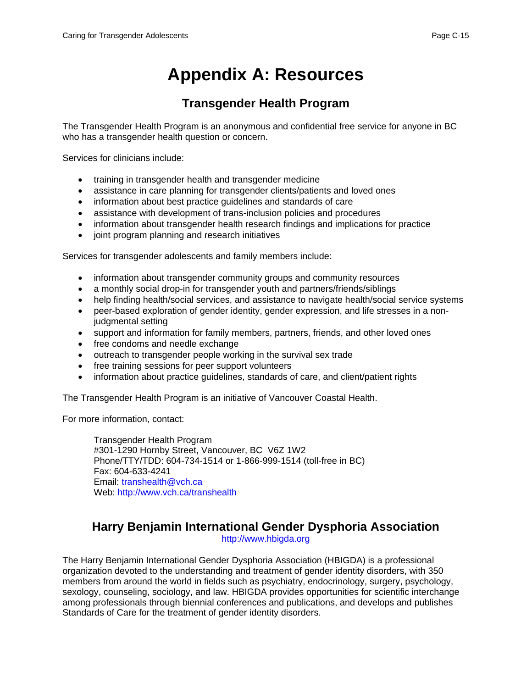# **Appendix A: Resources**

# **Transgender Health Program**

The Transgender Health Program is an anonymous and confidential free service for anyone in BC who has a transgender health question or concern.

Services for clinicians include:

- training in transgender health and transgender medicine
- assistance in care planning for transgender clients/patients and loved ones
- information about best practice guidelines and standards of care
- assistance with development of trans-inclusion policies and procedures
- information about transgender health research findings and implications for practice
- joint program planning and research initiatives

Services for transgender adolescents and family members include:

- information about transgender community groups and community resources
- a monthly social drop-in for transgender youth and partners/friends/siblings
- help finding health/social services, and assistance to navigate health/social service systems
- peer-based exploration of gender identity, gender expression, and life stresses in a nonjudgmental setting
- support and information for family members, partners, friends, and other loved ones
- free condoms and needle exchange
- outreach to transgender people working in the survival sex trade
- free training sessions for peer support volunteers
- information about practice guidelines, standards of care, and client/patient rights

The Transgender Health Program is an initiative of Vancouver Coastal Health.

For more information, contact:

Transgender Health Program #301-1290 Hornby Street, Vancouver, BC V6Z 1W2 Phone/TTY/TDD: 604-734-1514 or 1-866-999-1514 (toll-free in BC) Fax: 604-633-4241 Email: [transhealth@vch.ca](mailto:transhealth@vch.ca) Web:<http://www.vch.ca/transhealth>

## **Harry Benjamin International Gender Dysphoria Association**

[http://www.hbigda.org](http://www.hbigda.org/) 

The Harry Benjamin International Gender Dysphoria Association (HBIGDA) is a professional organization devoted to the understanding and treatment of gender identity disorders, with 350 members from around the world in fields such as psychiatry, endocrinology, surgery, psychology, sexology, counseling, sociology, and law. HBIGDA provides opportunities for scientific interchange among professionals through biennial conferences and publications, and develops and publishes Standards of Care for the treatment of gender identity disorders.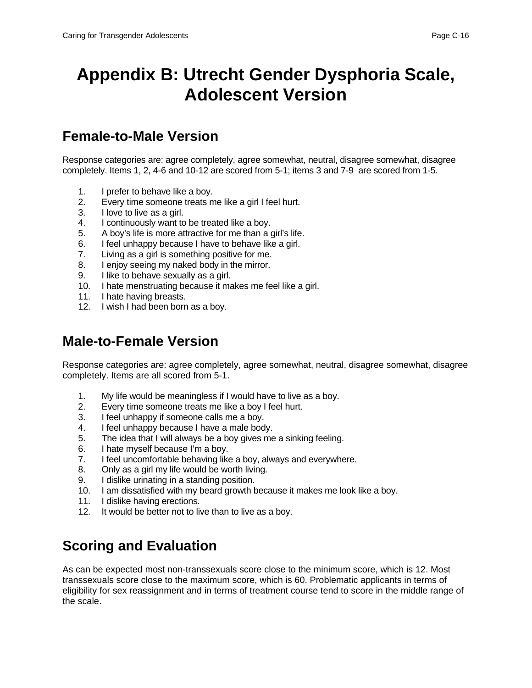# **Appendix B: Utrecht Gender Dysphoria Scale, Adolescent Version**

# **Female-to-Male Version**

Response categories are: agree completely, agree somewhat, neutral, disagree somewhat, disagree completely. Items 1, 2, 4-6 and 10-12 are scored from 5-1; items 3 and 7-9 are scored from 1-5.

- 1. I prefer to behave like a boy.
- 2. Every time someone treats me like a girl I feel hurt.
- 3. I love to live as a girl.
- 4. I continuously want to be treated like a boy.
- 5. A boy's life is more attractive for me than a girl's life.
- 6. I feel unhappy because I have to behave like a girl.
- 7. Living as a girl is something positive for me.
- 8. I enjoy seeing my naked body in the mirror.
- 9. I like to behave sexually as a girl.
- 10. I hate menstruating because it makes me feel like a girl.
- 11. I hate having breasts.
- 12. I wish I had been born as a boy.

# **Male-to-Female Version**

Response categories are: agree completely, agree somewhat, neutral, disagree somewhat, disagree completely. Items are all scored from 5-1.

- 1. My life would be meaningless if I would have to live as a boy.
- 2. Every time someone treats me like a boy I feel hurt.
- 3. I feel unhappy if someone calls me a boy.
- 4. I feel unhappy because I have a male body.
- 5. The idea that I will always be a boy gives me a sinking feeling.
- 6. I hate myself because I'm a boy.
- 7. I feel uncomfortable behaving like a boy, always and everywhere.
- 8. Only as a girl my life would be worth living.
- 9. I dislike urinating in a standing position.
- 10. I am dissatisfied with my beard growth because it makes me look like a boy.
- 11. I dislike having erections.
- 12. It would be better not to live than to live as a boy.

# **Scoring and Evaluation**

As can be expected most non-transsexuals score close to the minimum score, which is 12. Most transsexuals score close to the maximum score, which is 60. Problematic applicants in terms of eligibility for sex reassignment and in terms of treatment course tend to score in the middle range of the scale.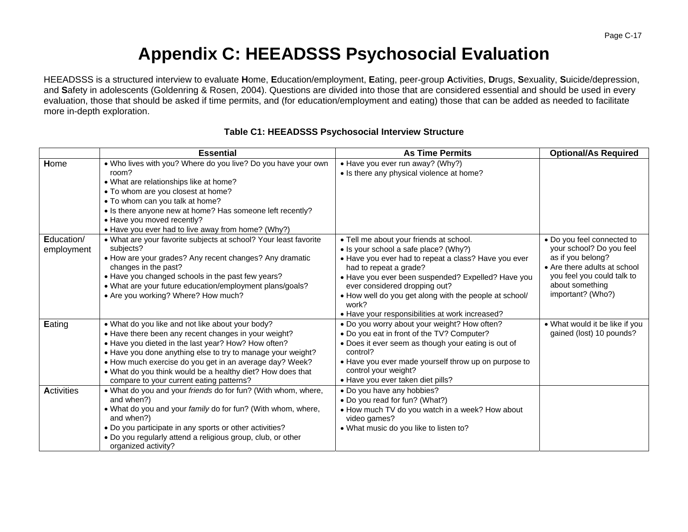# **Appendix C: HEEADSSS Psychosocial Evaluation**

HEEADSSS is a structured interview to evaluate **H**ome, Education/employment, Eating, peer-group **A**ctivities, **D**rugs, Sexuality, Suicide/depression, and **S**afety in adolescents (Goldenring & Rosen, 2004). Questions are divided into those that are considered essential and should be used in every evaluation, those that should be asked if time permits, and (for education/employment and eating) those that can be added as needed to facilitate more in-depth exploration.

|                          | <b>Essential</b>                                                                                                                                                                                                                                                                                                                                                                                    | <b>As Time Permits</b>                                                                                                                                                                                                                                                                                                                                                          | <b>Optional/As Required</b>                                                                                                                                                       |
|--------------------------|-----------------------------------------------------------------------------------------------------------------------------------------------------------------------------------------------------------------------------------------------------------------------------------------------------------------------------------------------------------------------------------------------------|---------------------------------------------------------------------------------------------------------------------------------------------------------------------------------------------------------------------------------------------------------------------------------------------------------------------------------------------------------------------------------|-----------------------------------------------------------------------------------------------------------------------------------------------------------------------------------|
| Home                     | . Who lives with you? Where do you live? Do you have your own<br>room?<br>• What are relationships like at home?<br>• To whom are you closest at home?<br>• To whom can you talk at home?<br>• Is there anyone new at home? Has someone left recently?<br>• Have you moved recently?<br>• Have you ever had to live away from home? (Why?)                                                          | • Have you ever run away? (Why?)<br>• Is there any physical violence at home?                                                                                                                                                                                                                                                                                                   |                                                                                                                                                                                   |
| Education/<br>employment | • What are your favorite subjects at school? Your least favorite<br>subjects?<br>• How are your grades? Any recent changes? Any dramatic<br>changes in the past?<br>• Have you changed schools in the past few years?<br>• What are your future education/employment plans/goals?<br>• Are you working? Where? How much?                                                                            | • Tell me about your friends at school.<br>• Is your school a safe place? (Why?)<br>• Have you ever had to repeat a class? Have you ever<br>had to repeat a grade?<br>• Have you ever been suspended? Expelled? Have you<br>ever considered dropping out?<br>• How well do you get along with the people at school/<br>work?<br>• Have your responsibilities at work increased? | • Do you feel connected to<br>your school? Do you feel<br>as if you belong?<br>• Are there adults at school<br>you feel you could talk to<br>about something<br>important? (Who?) |
| Eating                   | • What do you like and not like about your body?<br>• Have there been any recent changes in your weight?<br>• Have you dieted in the last year? How? How often?<br>• Have you done anything else to try to manage your weight?<br>• How much exercise do you get in an average day? Week?<br>. What do you think would be a healthy diet? How does that<br>compare to your current eating patterns? | . Do you worry about your weight? How often?<br>. Do you eat in front of the TV? Computer?<br>. Does it ever seem as though your eating is out of<br>control?<br>• Have you ever made yourself throw up on purpose to<br>control your weight?<br>• Have you ever taken diet pills?                                                                                              | • What would it be like if you<br>gained (lost) 10 pounds?                                                                                                                        |
| <b>Activities</b>        | . What do you and your friends do for fun? (With whom, where,<br>and when?)<br>. What do you and your family do for fun? (With whom, where,<br>and when?)<br>. Do you participate in any sports or other activities?<br>. Do you regularly attend a religious group, club, or other<br>organized activity?                                                                                          | • Do you have any hobbies?<br>• Do you read for fun? (What?)<br>. How much TV do you watch in a week? How about<br>video games?<br>• What music do you like to listen to?                                                                                                                                                                                                       |                                                                                                                                                                                   |

#### **Table C1: HEEADSSS Psychosocial Interview Structure**